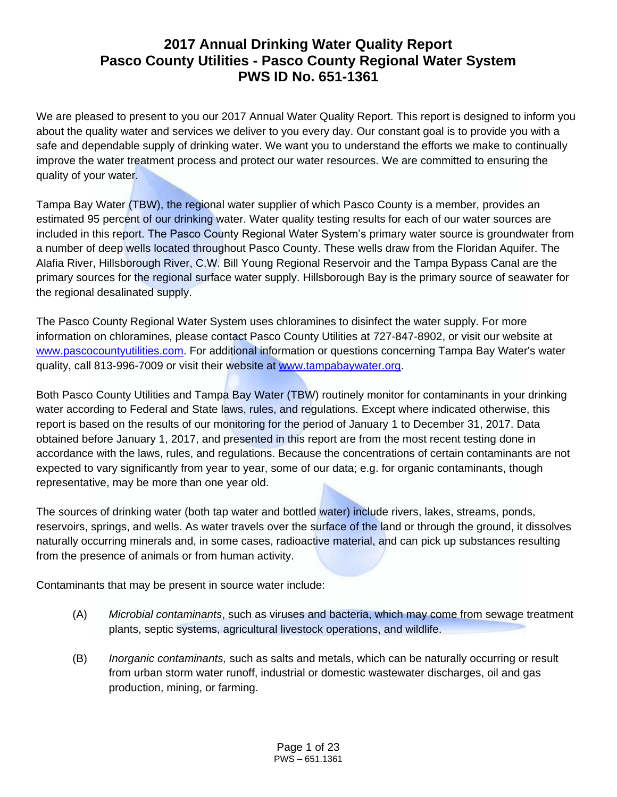# **2017 Annual Drinking Water Quality Report Pasco County Utilities - Pasco County Regional Water System PWS ID No. 651-1361**

We are pleased to present to you our 2017 Annual Water Quality Report. This report is designed to inform you about the quality water and services we deliver to you every day. Our constant goal is to provide you with a safe and dependable supply of drinking water. We want you to understand the efforts we make to continually improve the water treatment process and protect our water resources. We are committed to ensuring the quality of your water.

Tampa Bay Water (TBW), the regional water supplier of which Pasco County is a member, provides an estimated 95 percent of our drinking water. Water quality testing results for each of our water sources are included in this report. The Pasco County Regional Water System's primary water source is groundwater from a number of deep wells located throughout Pasco County. These wells draw from the Floridan Aquifer. The Alafia River, Hillsborough River, C.W. Bill Young Regional Reservoir and the Tampa Bypass Canal are the primary sources for the regional surface water supply. Hillsborough Bay is the primary source of seawater for the regional desalinated supply.

The Pasco County Regional Water System uses chloramines to disinfect the water supply. For more information on chloramines, please contact Pasco County Utilities at 727-847-8902, or visit our website at [www.pascocountyutilities.com.](http://www.pascocountyfl.net/Index.aspx?NID=168) For additional information or questions concerning Tampa Bay Water's water quality, call 813-996-7009 or visit their website at [www.tampabaywater.org.](http://www.tampabaywater.org/)

Both Pasco County Utilities and Tampa Bay Water (TBW) routinely monitor for contaminants in your drinking water according to Federal and State laws, rules, and regulations. Except where indicated otherwise, this report is based on the results of our monitoring for the period of January 1 to December 31, 2017. Data obtained before January 1, 2017, and presented in this report are from the most recent testing done in accordance with the laws, rules, and regulations. Because the concentrations of certain contaminants are not expected to vary significantly from year to year, some of our data; e.g. for organic contaminants, though representative, may be more than one year old.

The sources of drinking water (both tap water and bottled water) include rivers, lakes, streams, ponds, reservoirs, springs, and wells. As water travels over the surface of the land or through the ground, it dissolves naturally occurring minerals and, in some cases, radioactive material, and can pick up substances resulting from the presence of animals or from human activity.

Contaminants that may be present in source water include:

- (A) *Microbial contaminants*, such as viruses and bacteria, which may come from sewage treatment plants, septic systems, agricultural livestock operations, and wildlife.
- (B) *Inorganic contaminants,* such as salts and metals, which can be naturally occurring or result from urban storm water runoff, industrial or domestic wastewater discharges, oil and gas production, mining, or farming.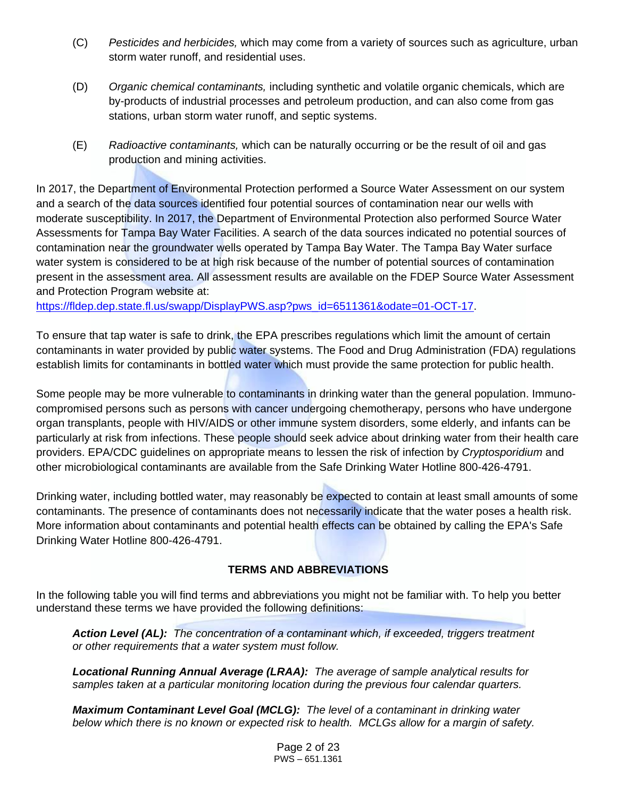- (C) *Pesticides and herbicides,* which may come from a variety of sources such as agriculture, urban storm water runoff, and residential uses.
- (D) *Organic chemical contaminants,* including synthetic and volatile organic chemicals, which are by-products of industrial processes and petroleum production, and can also come from gas stations, urban storm water runoff, and septic systems.
- (E) *Radioactive contaminants,* which can be naturally occurring or be the result of oil and gas production and mining activities.

In 2017, the Department of Environmental Protection performed a Source Water Assessment on our system and a search of the data sources identified four potential sources of contamination near our wells with moderate susceptibility. In 2017, the Department of Environmental Protection also performed Source Water Assessments for Tampa Bay Water Facilities. A search of the data sources indicated no potential sources of contamination near the groundwater wells operated by Tampa Bay Water. The Tampa Bay Water surface water system is considered to be at high risk because of the number of potential sources of contamination present in the assessment area. All assessment results are available on the FDEP Source Water Assessment and Protection Program website at:

[https://fldep.dep.state.fl.us/swapp/DisplayPWS.asp?pws\\_id=6511361&odate=01-OCT-17.](https://fldep.dep.state.fl.us/swapp/DisplayPWS.asp?pws_id=6511361&odate=01-OCT-17)

To ensure that tap water is safe to drink, the EPA prescribes regulations which limit the amount of certain contaminants in water provided by public water systems. The Food and Drug Administration (FDA) regulations establish limits for contaminants in bottled water which must provide the same protection for public health.

Some people may be more vulnerable to contaminants in drinking water than the general population. Immunocompromised persons such as persons with cancer undergoing chemotherapy, persons who have undergone organ transplants, people with HIV/AIDS or other immune system disorders, some elderly, and infants can be particularly at risk from infections. These people should seek advice about drinking water from their health care providers. EPA/CDC guidelines on appropriate means to lessen the risk of infection by *Cryptosporidium* and other microbiological contaminants are available from the Safe Drinking Water Hotline 800-426-4791.

Drinking water, including bottled water, may reasonably be expected to contain at least small amounts of some contaminants. The presence of contaminants does not necessarily indicate that the water poses a health risk. More information about contaminants and potential health effects can be obtained by calling the EPA's Safe Drinking Water Hotline 800-426-4791.

## **TERMS AND ABBREVIATIONS**

In the following table you will find terms and abbreviations you might not be familiar with. To help you better understand these terms we have provided the following definitions:

*Action Level (AL): The concentration of a contaminant which, if exceeded, triggers treatment or other requirements that a water system must follow.*

*Locational Running Annual Average (LRAA): The average of sample analytical results for samples taken at a particular monitoring location during the previous four calendar quarters.*

*Maximum Contaminant Level Goal (MCLG): The level of a contaminant in drinking water below which there is no known or expected risk to health. MCLGs allow for a margin of safety.*

> Page 2 of 23 PWS – 651.1361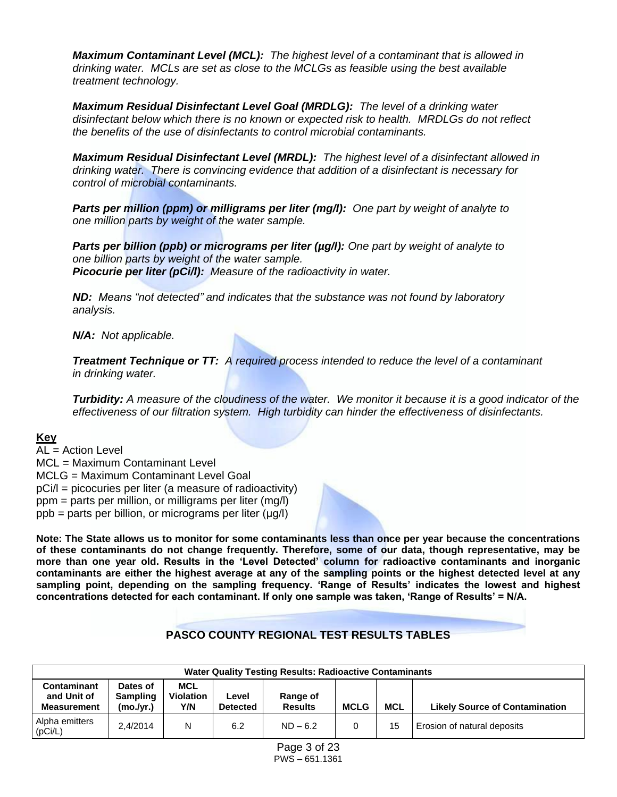*Maximum Contaminant Level (MCL): The highest level of a contaminant that is allowed in drinking water. MCLs are set as close to the MCLGs as feasible using the best available treatment technology.*

*Maximum Residual Disinfectant Level Goal (MRDLG): The level of a drinking water disinfectant below which there is no known or expected risk to health. MRDLGs do not reflect the benefits of the use of disinfectants to control microbial contaminants.*

*Maximum Residual Disinfectant Level (MRDL): The highest level of a disinfectant allowed in drinking water. There is convincing evidence that addition of a disinfectant is necessary for control of microbial contaminants.*

*Parts per million (ppm) or milligrams per liter (mg/l): One part by weight of analyte to one million parts by weight of the water sample.*

*Parts per billion (ppb) or micrograms per liter (µg/l): One part by weight of analyte to one billion parts by weight of the water sample. Picocurie per liter (pCi/l): Measure of the radioactivity in water.*

*ND: Means "not detected" and indicates that the substance was not found by laboratory analysis.*

*N/A: Not applicable.*

*Treatment Technique or TT: A required process intended to reduce the level of a contaminant in drinking water.*

*Turbidity: A measure of the cloudiness of the water. We monitor it because it is a good indicator of the effectiveness of our filtration system. High turbidity can hinder the effectiveness of disinfectants.*

## **Key**

 $AI = Action I evel$ MCL = Maximum Contaminant Level MCLG = Maximum Contaminant Level Goal pCi/l = picocuries per liter (a measure of radioactivity) ppm = parts per million, or milligrams per liter (mg/l) ppb = parts per billion, or micrograms per liter (μg/l)

**Note: The State allows us to monitor for some contaminants less than once per year because the concentrations of these contaminants do not change frequently. Therefore, some of our data, though representative, may be more than one year old. Results in the 'Level Detected' column for radioactive contaminants and inorganic contaminants are either the highest average at any of the sampling points or the highest detected level at any sampling point, depending on the sampling frequency. 'Range of Results' indicates the lowest and highest concentrations detected for each contaminant. If only one sample was taken, 'Range of Results' = N/A.**

## **PASCO COUNTY REGIONAL TEST RESULTS TABLES**

|                                                                                                                                                                                                                                                                              | <b>Water Quality Testing Results: Radioactive Contaminants</b> |   |     |            |  |    |                             |  |  |  |  |  |
|------------------------------------------------------------------------------------------------------------------------------------------------------------------------------------------------------------------------------------------------------------------------------|----------------------------------------------------------------|---|-----|------------|--|----|-----------------------------|--|--|--|--|--|
| <b>MCL</b><br><b>Contaminant</b><br>Dates of<br>and Unit of<br><b>Sampling</b><br><b>Violation</b><br>Range of<br>∟evel<br><b>MCL</b><br>Y/N<br><b>Results</b><br><b>MCLG</b><br><b>Likely Source of Contamination</b><br>(mo./vr.)<br><b>Detected</b><br><b>Measurement</b> |                                                                |   |     |            |  |    |                             |  |  |  |  |  |
| Alpha emitters<br>(pCi/L)                                                                                                                                                                                                                                                    | 2.4/2014                                                       | N | 6.2 | $ND - 6.2$ |  | 15 | Erosion of natural deposits |  |  |  |  |  |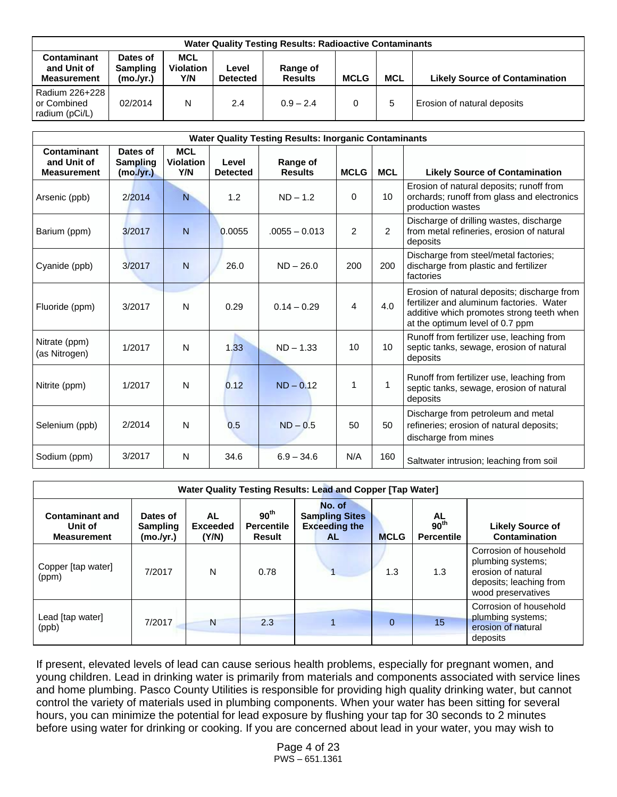|                                                         | <b>Water Quality Testing Results: Radioactive Contaminants</b> |                                       |                          |                            |             |            |                                       |  |  |  |  |  |
|---------------------------------------------------------|----------------------------------------------------------------|---------------------------------------|--------------------------|----------------------------|-------------|------------|---------------------------------------|--|--|--|--|--|
| <b>Contaminant</b><br>and Unit of<br><b>Measurement</b> | Dates of<br><b>Sampling</b><br>(mo./vr.)                       | <b>MCL</b><br><b>Violation</b><br>Y/N | Level<br><b>Detected</b> | Range of<br><b>Results</b> | <b>MCLG</b> | <b>MCL</b> | <b>Likely Source of Contamination</b> |  |  |  |  |  |
| Radium 226+228<br>or Combined<br>radium (pCi/L)         | 02/2014                                                        | N                                     | 2.4                      | $0.9 - 2.4$                | 0           |            | Erosion of natural deposits           |  |  |  |  |  |

|                                                  | <b>Water Quality Testing Results: Inorganic Contaminants</b> |                                       |                          |                            |             |                |                                                                                                                                                                         |  |  |  |  |  |
|--------------------------------------------------|--------------------------------------------------------------|---------------------------------------|--------------------------|----------------------------|-------------|----------------|-------------------------------------------------------------------------------------------------------------------------------------------------------------------------|--|--|--|--|--|
| Contaminant<br>and Unit of<br><b>Measurement</b> | Dates of<br><b>Sampling</b><br>(mo. /yr.)                    | <b>MCL</b><br><b>Violation</b><br>Y/N | Level<br><b>Detected</b> | Range of<br><b>Results</b> | <b>MCLG</b> | <b>MCL</b>     | <b>Likely Source of Contamination</b>                                                                                                                                   |  |  |  |  |  |
| Arsenic (ppb)                                    | 2/2014                                                       | N                                     | 1.2                      | $ND - 1.2$                 | $\Omega$    | 10             | Erosion of natural deposits; runoff from<br>orchards; runoff from glass and electronics<br>production wastes                                                            |  |  |  |  |  |
| Barium (ppm)                                     | 3/2017                                                       | $\mathsf{N}$                          | 0.0055                   | $.0055 - 0.013$            | 2           | $\overline{2}$ | Discharge of drilling wastes, discharge<br>from metal refineries, erosion of natural<br>deposits                                                                        |  |  |  |  |  |
| Cyanide (ppb)                                    | 3/2017                                                       | $\overline{N}$                        | 26.0                     | $ND - 26.0$                | 200         | 200            | Discharge from steel/metal factories;<br>discharge from plastic and fertilizer<br>factories                                                                             |  |  |  |  |  |
| Fluoride (ppm)                                   | 3/2017                                                       | N                                     | 0.29                     | $0.14 - 0.29$              | 4           | 4.0            | Erosion of natural deposits; discharge from<br>fertilizer and aluminum factories. Water<br>additive which promotes strong teeth when<br>at the optimum level of 0.7 ppm |  |  |  |  |  |
| Nitrate (ppm)<br>(as Nitrogen)                   | 1/2017                                                       | N                                     | 1.33                     | $ND - 1.33$                | 10          | 10             | Runoff from fertilizer use, leaching from<br>septic tanks, sewage, erosion of natural<br>deposits                                                                       |  |  |  |  |  |
| Nitrite (ppm)                                    | 1/2017                                                       | N                                     | 0.12                     | $ND - 0.12$                | 1           | 1              | Runoff from fertilizer use, leaching from<br>septic tanks, sewage, erosion of natural<br>deposits                                                                       |  |  |  |  |  |
| Selenium (ppb)                                   | 2/2014                                                       | N                                     | 0.5                      | $ND - 0.5$                 | 50          | 50             | Discharge from petroleum and metal<br>refineries; erosion of natural deposits;<br>discharge from mines                                                                  |  |  |  |  |  |
| Sodium (ppm)                                     | 3/2017                                                       | N                                     | 34.6                     | $6.9 - 34.6$               | N/A         | 160            | Saltwater intrusion; leaching from soil                                                                                                                                 |  |  |  |  |  |

|                                                         | Water Quality Testing Results: Lead and Copper [Tap Water] |                                |                                                 |                                                                      |             |                                             |                                                                                                                    |  |  |  |  |  |
|---------------------------------------------------------|------------------------------------------------------------|--------------------------------|-------------------------------------------------|----------------------------------------------------------------------|-------------|---------------------------------------------|--------------------------------------------------------------------------------------------------------------------|--|--|--|--|--|
| <b>Contaminant and</b><br>Unit of<br><b>Measurement</b> | Dates of<br><b>Sampling</b><br>(mo./yr.)                   | AL<br><b>Exceeded</b><br>(Y/N) | 90 <sup>th</sup><br><b>Percentile</b><br>Result | No. of<br><b>Sampling Sites</b><br><b>Exceeding the</b><br><b>AL</b> | <b>MCLG</b> | AL<br>90 <sup>th</sup><br><b>Percentile</b> | <b>Likely Source of</b><br>Contamination                                                                           |  |  |  |  |  |
| Copper [tap water]<br>(ppm)                             | 7/2017                                                     | N                              | 0.78                                            |                                                                      | 1.3         | 1.3                                         | Corrosion of household<br>plumbing systems;<br>erosion of natural<br>deposits; leaching from<br>wood preservatives |  |  |  |  |  |
| Lead [tap water]<br>(ppb)                               | 7/2017                                                     | N                              | 2.3                                             |                                                                      | $\Omega$    | 15                                          | Corrosion of household<br>plumbing systems;<br>erosion of natural<br>deposits                                      |  |  |  |  |  |

If present, elevated levels of lead can cause serious health problems, especially for pregnant women, and young children. Lead in drinking water is primarily from materials and components associated with service lines and home plumbing. Pasco County Utilities is responsible for providing high quality drinking water, but cannot control the variety of materials used in plumbing components. When your water has been sitting for several hours, you can minimize the potential for lead exposure by flushing your tap for 30 seconds to 2 minutes before using water for drinking or cooking. If you are concerned about lead in your water, you may wish to

> Page 4 of 23 PWS – 651.1361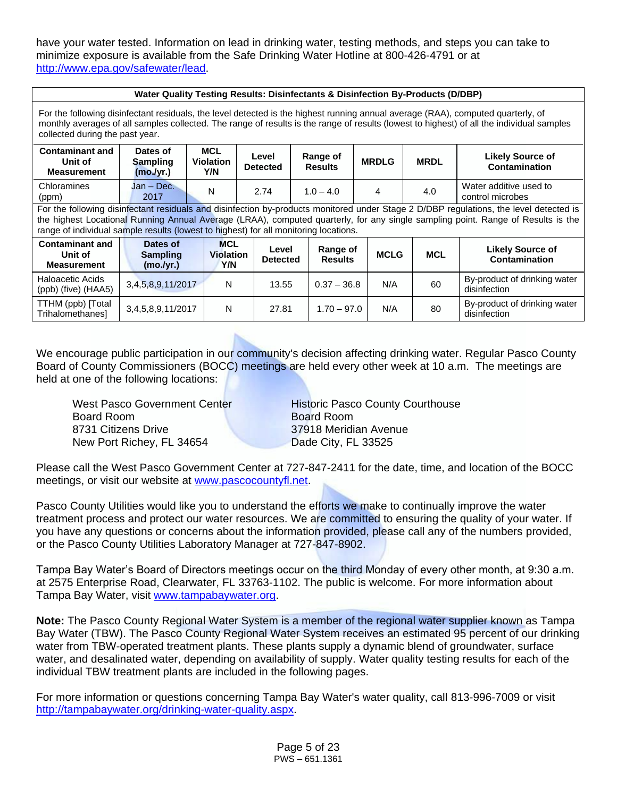have your water tested. Information on lead in drinking water, testing methods, and steps you can take to minimize exposure is available from the Safe Drinking Water Hotline at 800-426-4791 or at [http://www.epa.gov/safewater/lead.](http://www.epa.gov/safewater/lead)

| Water Quality Testing Results: Disinfectants & Disinfection By-Products (D/DBP)                                                                                                                                                                                                                                  |                                                                                                                                                                                                                      |  |  |  |  |  |  |  |  |                                                                                                                                                                                                                                                                            |  |  |  |
|------------------------------------------------------------------------------------------------------------------------------------------------------------------------------------------------------------------------------------------------------------------------------------------------------------------|----------------------------------------------------------------------------------------------------------------------------------------------------------------------------------------------------------------------|--|--|--|--|--|--|--|--|----------------------------------------------------------------------------------------------------------------------------------------------------------------------------------------------------------------------------------------------------------------------------|--|--|--|
| For the following disinfectant residuals, the level detected is the highest running annual average (RAA), computed quarterly, of<br>monthly averages of all samples collected. The range of results is the range of results (lowest to highest) of all the individual samples<br>collected during the past year. |                                                                                                                                                                                                                      |  |  |  |  |  |  |  |  |                                                                                                                                                                                                                                                                            |  |  |  |
| <b>MCL</b><br>Dates of<br><b>Contaminant and</b><br>Range of<br><b>Likely Source of</b><br>Level<br><b>MRDLG</b><br><b>Violation</b><br><b>MRDL</b><br>Unit of<br><b>Sampling</b><br><b>Results</b><br><b>Contamination</b><br><b>Detected</b><br>Y/N<br>(mo./yr.)<br><b>Measurement</b>                         |                                                                                                                                                                                                                      |  |  |  |  |  |  |  |  |                                                                                                                                                                                                                                                                            |  |  |  |
| Jan - Dec.<br>Water additive used to<br>Chloramines<br>N<br>2.74<br>$1.0 - 4.0$<br>4<br>4.0<br>2017<br>control microbes<br>(ppm)                                                                                                                                                                                 |                                                                                                                                                                                                                      |  |  |  |  |  |  |  |  |                                                                                                                                                                                                                                                                            |  |  |  |
| range of individual sample results (lowest to highest) for all monitoring locations.                                                                                                                                                                                                                             |                                                                                                                                                                                                                      |  |  |  |  |  |  |  |  | For the following disinfectant residuals and disinfection by-products monitored under Stage 2 D/DBP regulations, the level detected is<br>the highest Locational Running Annual Average (LRAA), computed quarterly, for any single sampling point. Range of Results is the |  |  |  |
| <b>Contaminant and</b><br>Unit of<br><b>Measurement</b>                                                                                                                                                                                                                                                          | <b>MCL</b><br>Dates of<br>Range of<br><b>Likely Source of</b><br>Level<br><b>MCLG</b><br><b>MCL</b><br><b>Sampling</b><br><b>Violation</b><br>Contamination<br><b>Results</b><br><b>Detected</b><br>Y/N<br>(mo./yr.) |  |  |  |  |  |  |  |  |                                                                                                                                                                                                                                                                            |  |  |  |
| Haloacetic Acids<br>By-product of drinking water<br>N/A<br>3,4,5,8,9,11/2017<br>N<br>13.55<br>$0.37 - 36.8$<br>60<br>disinfection<br>$(ppb)$ (five) $(HAA5)$                                                                                                                                                     |                                                                                                                                                                                                                      |  |  |  |  |  |  |  |  |                                                                                                                                                                                                                                                                            |  |  |  |
| TTHM (ppb) [Total]<br>Trihalomethanes]                                                                                                                                                                                                                                                                           | By-product of drinking water<br>N<br>N/A<br>80<br>27.81<br>$1.70 - 97.0$<br>3,4,5,8,9,11/2017<br>disinfection                                                                                                        |  |  |  |  |  |  |  |  |                                                                                                                                                                                                                                                                            |  |  |  |

We encourage public participation in our community's decision affecting drinking water. Regular Pasco County Board of County Commissioners (BOCC) meetings are held every other week at 10 a.m. The meetings are held at one of the following locations:

West Pasco Government Center **Historic Pasco County Courthouse** Board Room Board Room 8731 Citizens Drive **37918 Meridian Avenue** New Port Richey, FL 34654 Dade City, FL 33525

Please call the West Pasco Government Center at 727-847-2411 for the date, time, and location of the BOCC meetings, or visit our website at [www.pascocountyfl.net.](http://www.pascocountyfl.net/)

Pasco County Utilities would like you to understand the efforts we make to continually improve the water treatment process and protect our water resources. We are committed to ensuring the quality of your water. If you have any questions or concerns about the information provided, please call any of the numbers provided, or the Pasco County Utilities Laboratory Manager at 727-847-8902.

Tampa Bay Water's Board of Directors meetings occur on the third Monday of every other month, at 9:30 a.m. at 2575 Enterprise Road, Clearwater, FL 33763-1102. The public is welcome. For more information about Tampa Bay Water, visit [www.tampabaywater.org.](http://www.tampabaywater.org/)

**Note:** The Pasco County Regional Water System is a member of the regional water supplier known as Tampa Bay Water (TBW). The Pasco County Regional Water System receives an estimated 95 percent of our drinking water from TBW-operated treatment plants. These plants supply a dynamic blend of groundwater, surface water, and desalinated water, depending on availability of supply. Water quality testing results for each of the individual TBW treatment plants are included in the following pages.

For more information or questions concerning Tampa Bay Water's water quality, call 813-996-7009 or visit [http://tampabaywater.org/drinking-water-quality.aspx.](http://tampabaywater.org/drinking-water-quality.aspx)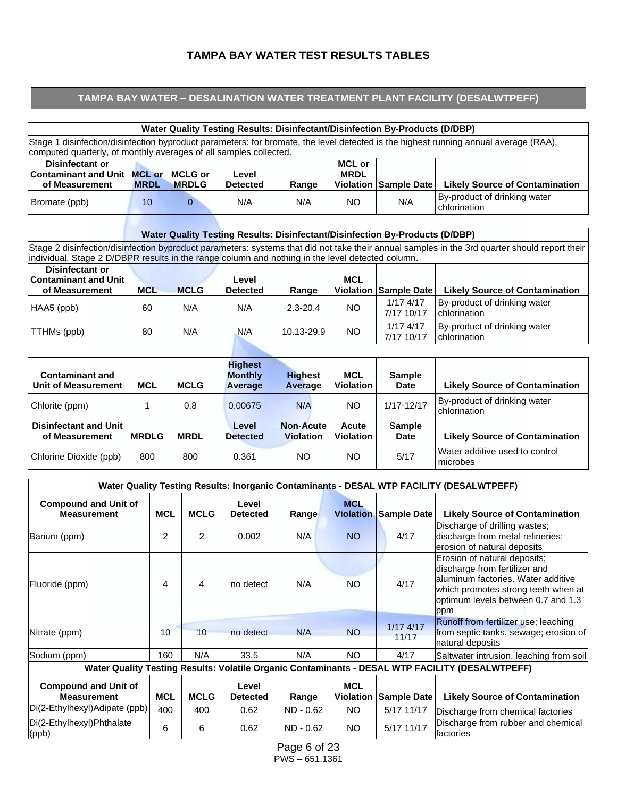#### **TAMPA BAY WATER TEST RESULTS TABLES**

#### **TAMPA BAY WATER – DESALINATION WATER TREATMENT PLANT FACILITY (DESALWTPEFF)**

| <b>Water Quality Testing Results: Disinfectant/Disinfection By-Products (D/DBP)</b>                                                                                                                       |                                                                                                                                                                                                                 |  |  |  |  |  |  |  |  |  |  |
|-----------------------------------------------------------------------------------------------------------------------------------------------------------------------------------------------------------|-----------------------------------------------------------------------------------------------------------------------------------------------------------------------------------------------------------------|--|--|--|--|--|--|--|--|--|--|
| Stage 1 disinfection/disinfection byproduct parameters: for bromate, the level detected is the highest running annual average (RAA),<br>computed quarterly, of monthly averages of all samples collected. |                                                                                                                                                                                                                 |  |  |  |  |  |  |  |  |  |  |
| Disinfectant or<br><b>Contaminant and Unit</b><br>of Measurement                                                                                                                                          | <b>MCL or</b><br><b>MRDL</b><br><b>MCL or</b><br><b>MCLG or</b><br>Level<br><b>Violation</b><br><b>Likely Source of Contamination</b><br>Sample Date<br><b>MRDL</b><br><b>MRDLG</b><br><b>Detected</b><br>Range |  |  |  |  |  |  |  |  |  |  |
| By-product of drinking water<br>N/A<br>N/A<br>N/A<br>NO.<br>Bromate (ppb)<br>10<br>chlorination                                                                                                           |                                                                                                                                                                                                                 |  |  |  |  |  |  |  |  |  |  |

# **Water Quality Testing Results: Disinfectant/Disinfection By-Products (D/DBP)**

Stage 2 disinfection/disinfection byproduct parameters: systems that did not take their annual samples in the 3rd quarter should report their individual. Stage 2 D/DBPR results in the range column and nothing in the level detected column.

| <b>Disinfectant or</b><br><b>Contaminant and Unit</b><br>of Measurement | <b>MCL</b> | <b>MCLG</b> | Level<br><b>Detected</b> | Range        | <b>MCL</b> | <b>Violation Sample Date</b> | <b>Likely Source of Contamination</b>        |
|-------------------------------------------------------------------------|------------|-------------|--------------------------|--------------|------------|------------------------------|----------------------------------------------|
| HAA5 (ppb)                                                              | 60         | N/A         | N/A                      | $2.3 - 20.4$ | NO.        | $1/17$ 4/17<br>7/17 10/17    | By-product of drinking water<br>chlorination |
| TTHMs (ppb)                                                             | 80         | N/A         | N/A                      | 10.13-29.9   | NO.        | $1/17$ 4/17<br>7/17 10/17    | By-product of drinking water<br>chlorination |

| <b>Contaminant and</b><br>Unit of Measurement  | <b>MCL</b>   | <b>MCLG</b> | <b>Highest</b><br><b>Monthly</b><br><b>Average</b> | <b>Highest</b><br>Average            | <b>MCL</b><br><b>Violation</b> | <b>Sample</b><br><b>Date</b> | <b>Likely Source of Contamination</b>        |
|------------------------------------------------|--------------|-------------|----------------------------------------------------|--------------------------------------|--------------------------------|------------------------------|----------------------------------------------|
| Chlorite (ppm)                                 |              | 0.8         | 0.00675                                            | N/A                                  | NO.                            | $1/17 - 12/17$               | By-product of drinking water<br>chlorination |
| <b>Disinfectant and Unit</b><br>of Measurement | <b>MRDLG</b> | <b>MRDL</b> | Level<br><b>Detected</b>                           | <b>Non-Acute</b><br><b>Violation</b> | Acute<br><b>Violation</b>      | <b>Sample</b><br><b>Date</b> | <b>Likely Source of Contamination</b>        |
| Chlorine Dioxide (ppb)                         | 800          | 800         | 0.361                                              | NO.                                  | NO.                            | 5/17                         | Water additive used to control<br>microbes   |

|                                                   |            |                |                          |             |                                |                      | Water Quality Testing Results: Inorganic Contaminants - DESAL WTP FACILITY (DESALWTPEFF)                                                                                                |
|---------------------------------------------------|------------|----------------|--------------------------|-------------|--------------------------------|----------------------|-----------------------------------------------------------------------------------------------------------------------------------------------------------------------------------------|
| <b>Compound and Unit of</b><br><b>Measurement</b> | <b>MCL</b> | <b>MCLG</b>    | Level<br><b>Detected</b> | Range       | <b>MCL</b><br><b>Violation</b> | <b>Sample Date</b>   | <b>Likely Source of Contamination</b>                                                                                                                                                   |
| Barium (ppm)                                      | 2          | $\overline{2}$ | 0.002                    | N/A         | NO <sub>1</sub>                | 4/17                 | Discharge of drilling wastes;<br>discharge from metal refineries;<br>erosion of natural deposits                                                                                        |
| Fluoride (ppm)                                    | 4          | 4              | no detect                | N/A         | <b>NO</b>                      | 4/17                 | Erosion of natural deposits;<br>discharge from fertilizer and<br>aluminum factories. Water additive<br>which promotes strong teeth when at<br>optimum levels between 0.7 and 1.3<br>ppm |
| Nitrate (ppm)                                     | 10         | 10             | no detect                | N/A         | <b>NO</b>                      | $1/17$ 4/17<br>11/17 | Runoff from fertilizer use; leaching<br>from septic tanks, sewage; erosion of<br>natural deposits                                                                                       |
| Sodium (ppm)                                      | 160        | N/A            | 33.5                     | N/A         | <b>NO</b>                      | 4/17                 | Saltwater intrusion, leaching from soil                                                                                                                                                 |
|                                                   |            |                |                          |             |                                |                      | Water Quality Testing Results: Volatile Organic Contaminants - DESAL WTP FACILITY (DESALWTPEFF)                                                                                         |
| <b>Compound and Unit of</b><br><b>Measurement</b> | <b>MCL</b> | <b>MCLG</b>    | Level<br><b>Detected</b> | Range       | <b>MCL</b><br><b>Violation</b> | <b>Sample Date</b>   | <b>Likely Source of Contamination</b>                                                                                                                                                   |
| Di(2-Ethylhexyl)Adipate (ppb)                     | 400        | 400            | 0.62                     | ND - 0.62   | NO.                            | 5/17 11/17           | Discharge from chemical factories                                                                                                                                                       |
| Di(2-Ethylhexyl)Phthalate<br>(ppb)                | 6          | 6              | 0.62                     | $ND - 0.62$ | <b>NO</b>                      | 5/17 11/17           | Discharge from rubber and chemical<br>factories                                                                                                                                         |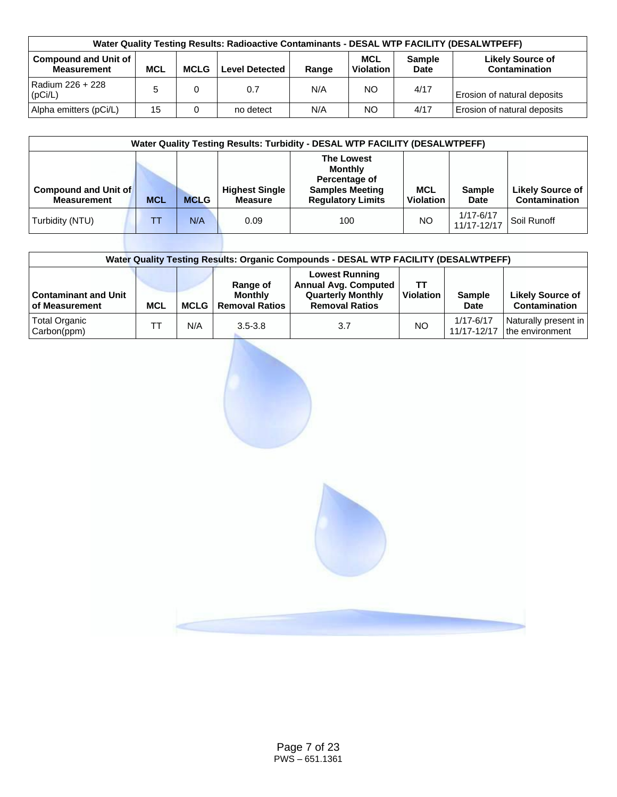| Water Quality Testing Results: Radioactive Contaminants - DESAL WTP FACILITY (DESALWTPEFF)                                                                                                                                     |                                                          |  |           |     |     |      |                             |  |  |  |  |  |
|--------------------------------------------------------------------------------------------------------------------------------------------------------------------------------------------------------------------------------|----------------------------------------------------------|--|-----------|-----|-----|------|-----------------------------|--|--|--|--|--|
| <b>Compound and Unit of</b><br><b>MCL</b><br><b>Likely Source of</b><br><b>Sample</b><br>Contamination<br><b>MCLG</b><br><b>MCL</b><br><b>Violation</b><br><b>Measurement</b><br><b>Level Detected</b><br><b>Date</b><br>Range |                                                          |  |           |     |     |      |                             |  |  |  |  |  |
| Radium 226 + 228<br>(pCi/L)                                                                                                                                                                                                    | NO.<br>4/17<br>N/A<br>0.7<br>Erosion of natural deposits |  |           |     |     |      |                             |  |  |  |  |  |
| Alpha emitters (pCi/L)                                                                                                                                                                                                         | 15                                                       |  | no detect | N/A | NO. | 4/17 | Erosion of natural deposits |  |  |  |  |  |

| <b>Water Quality Testing Results: Turbidity - DESAL WTP FACILITY (DESALWTPEFF)</b> |            |             |                                         |                                                                                                            |                                |                              |                                          |  |  |  |  |
|------------------------------------------------------------------------------------|------------|-------------|-----------------------------------------|------------------------------------------------------------------------------------------------------------|--------------------------------|------------------------------|------------------------------------------|--|--|--|--|
| <b>Compound and Unit of</b><br><b>Measurement</b>                                  | <b>MCL</b> | <b>MCLG</b> | <b>Highest Single</b><br><b>Measure</b> | <b>The Lowest</b><br><b>Monthly</b><br>Percentage of<br><b>Samples Meeting</b><br><b>Requlatory Limits</b> | <b>MCL</b><br><b>Violation</b> | <b>Sample</b><br><b>Date</b> | Likely Source of<br><b>Contamination</b> |  |  |  |  |
| Turbidity (NTU)                                                                    |            | N/A         | 0.09                                    | 100                                                                                                        | <b>NO</b>                      | $1/17 - 6/17$<br>11/17-12/17 | Soil Runoff                              |  |  |  |  |

| Water Quality Testing Results: Organic Compounds - DESAL WTP FACILITY (DESALWTPEFF) |            |             |                                                     |                                                                                                           |                        |                          |                                          |  |  |  |  |  |
|-------------------------------------------------------------------------------------|------------|-------------|-----------------------------------------------------|-----------------------------------------------------------------------------------------------------------|------------------------|--------------------------|------------------------------------------|--|--|--|--|--|
| <b>Contaminant and Unit</b><br>of Measurement                                       | <b>MCL</b> | <b>MCLG</b> | Range of<br><b>Monthly</b><br><b>Removal Ratios</b> | <b>Lowest Running</b><br><b>Annual Avg. Computed</b><br><b>Quarterly Monthly</b><br><b>Removal Ratios</b> | TТ<br><b>Violation</b> | <b>Sample</b><br>Date    | <b>Likely Source of</b><br>Contamination |  |  |  |  |  |
| Total Organic<br>Carbon(ppm)                                                        |            | N/A         | $3.5 - 3.8$                                         | 3.7                                                                                                       | <b>NO</b>              | 1/17-6/17<br>11/17-12/17 | Naturally present in<br>the environment  |  |  |  |  |  |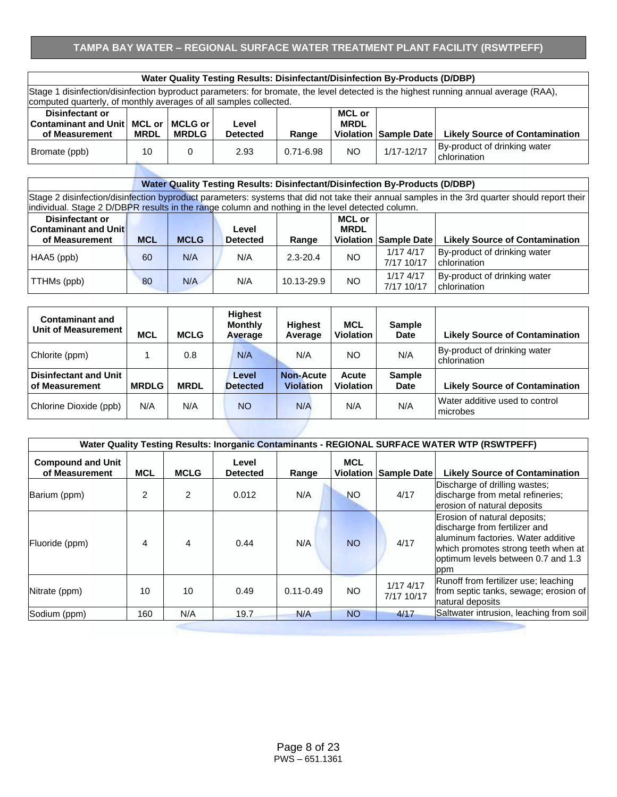## **TAMPA BAY WATER – REGIONAL SURFACE WATER TREATMENT PLANT FACILITY (RSWTPEFF)**

|                                                                                                                                         | Water Quality Testing Results: Disinfectant/Disinfection By-Products (D/DBP) |  |  |  |  |  |  |  |  |  |  |  |
|-----------------------------------------------------------------------------------------------------------------------------------------|------------------------------------------------------------------------------|--|--|--|--|--|--|--|--|--|--|--|
| disinfection/disinfection byproduct parameters: for bromate, the level detected is the highest running annual average (RAA),<br>Stage 1 |                                                                              |  |  |  |  |  |  |  |  |  |  |  |
| computed quarterly, of monthly averages of all samples collected.                                                                       |                                                                              |  |  |  |  |  |  |  |  |  |  |  |
| Disinfectant or                                                                                                                         | <b>MCL or</b>                                                                |  |  |  |  |  |  |  |  |  |  |  |
| Contaminant and Unit   MCL or   MCLG or  <br><b>MRDL</b><br>Level<br>.<br>.<br>.<br>_ _ _                                               |                                                                              |  |  |  |  |  |  |  |  |  |  |  |

| <b>CONTAINMANT AND ONLY MOL OF</b><br>of Measurement | <b>MRDL</b> | וט כבשיות<br><b>MRDLG</b> | LG V CI<br><b>Detected</b> | Range         | MINDL | Violation Sample Date | <b>Likely Source of Contamination</b>        |
|------------------------------------------------------|-------------|---------------------------|----------------------------|---------------|-------|-----------------------|----------------------------------------------|
| Bromate (ppb)                                        |             |                           | 2.93                       | $0.71 - 6.98$ | ΝC    | 1/17-12/17            | By-product of drinking water<br>chlorination |

#### **Water Quality Testing Results: Disinfectant/Disinfection By-Products (D/DBP)**

Stage 2 disinfection/disinfection byproduct parameters: systems that did not take their annual samples in the 3rd quarter should report their individual. Stage 2 D/DBPR results in the range column and nothing in the level detected column.

| <b>Disinfectant or</b>      |            |             |                 |              | <b>MCL or</b> |                           |                                              |
|-----------------------------|------------|-------------|-----------------|--------------|---------------|---------------------------|----------------------------------------------|
| <b>Contaminant and Unit</b> |            |             | Level           |              | <b>MRDL</b>   |                           |                                              |
| of Measurement              | <b>MCL</b> | <b>MCLG</b> | <b>Detected</b> | Range        |               | Violation Sample Date     | <b>Likely Source of Contamination</b>        |
| HAA5 (ppb)                  | 60         | N/A         | N/A             | $2.3 - 20.4$ | NO.           | $1/17$ 4/17<br>7/17 10/17 | By-product of drinking water<br>chlorination |
| TTHMs (ppb)                 | 80         | N/A         | N/A             | 10.13-29.9   | NO.           | 1/17 4/17<br>7/17 10/17   | By-product of drinking water<br>chlorination |

| <b>Contaminant and</b><br>Unit of Measurement         | <b>MCL</b>   | <b>MCLG</b> | <b>Highest</b><br><b>Monthly</b><br>Average | <b>Highest</b><br>Average            | <b>MCL</b><br><b>Violation</b>   | <b>Sample</b><br><b>Date</b> | <b>Likely Source of Contamination</b>        |
|-------------------------------------------------------|--------------|-------------|---------------------------------------------|--------------------------------------|----------------------------------|------------------------------|----------------------------------------------|
| Chlorite (ppm)                                        |              | 0.8         | N/A                                         | N/A                                  | <b>NO</b>                        | N/A                          | By-product of drinking water<br>chlorination |
| <b>Disinfectant and Unit</b><br><b>of Measurement</b> | <b>MRDLG</b> | <b>MRDL</b> | Level<br><b>Detected</b>                    | <b>Non-Acute</b><br><b>Violation</b> | <b>Acute</b><br><b>Violation</b> | <b>Sample</b><br><b>Date</b> | <b>Likely Source of Contamination</b>        |
| Chlorine Dioxide (ppb)                                | N/A          | N/A         | <b>NO</b>                                   | N/A                                  | N/A                              | N/A                          | Water additive used to control<br>microbes   |

|                                            |                |                |                          |               |                                |                           | Water Quality Testing Results: Inorganic Contaminants - REGIONAL SURFACE WATER WTP (RSWTPEFF)                                                                                           |
|--------------------------------------------|----------------|----------------|--------------------------|---------------|--------------------------------|---------------------------|-----------------------------------------------------------------------------------------------------------------------------------------------------------------------------------------|
| <b>Compound and Unit</b><br>of Measurement | <b>MCL</b>     | <b>MCLG</b>    | Level<br><b>Detected</b> | Range         | <b>MCL</b><br><b>Violation</b> | Sample Date               | <b>Likely Source of Contamination</b>                                                                                                                                                   |
| Barium (ppm)                               | $\mathfrak{p}$ | $\mathfrak{p}$ | 0.012                    | N/A           | <b>NO</b>                      | 4/17                      | Discharge of drilling wastes;<br>discharge from metal refineries;<br>erosion of natural deposits                                                                                        |
| Fluoride (ppm)                             | 4              | 4              | 0.44                     | N/A           | <b>NO</b>                      | 4/17                      | Erosion of natural deposits;<br>discharge from fertilizer and<br>aluminum factories. Water additive<br>which promotes strong teeth when at<br>optimum levels between 0.7 and 1.3<br>ppm |
| Nitrate (ppm)                              | 10             | 10             | 0.49                     | $0.11 - 0.49$ | NO.                            | $1/17$ 4/17<br>7/17 10/17 | Runoff from fertilizer use; leaching<br>from septic tanks, sewage; erosion of<br>natural deposits                                                                                       |
| Sodium (ppm)                               | 160            | N/A            | 19.7                     | N/A           | <b>NO</b>                      | 4/17                      | Saltwater intrusion, leaching from soil                                                                                                                                                 |
|                                            |                |                |                          |               |                                |                           |                                                                                                                                                                                         |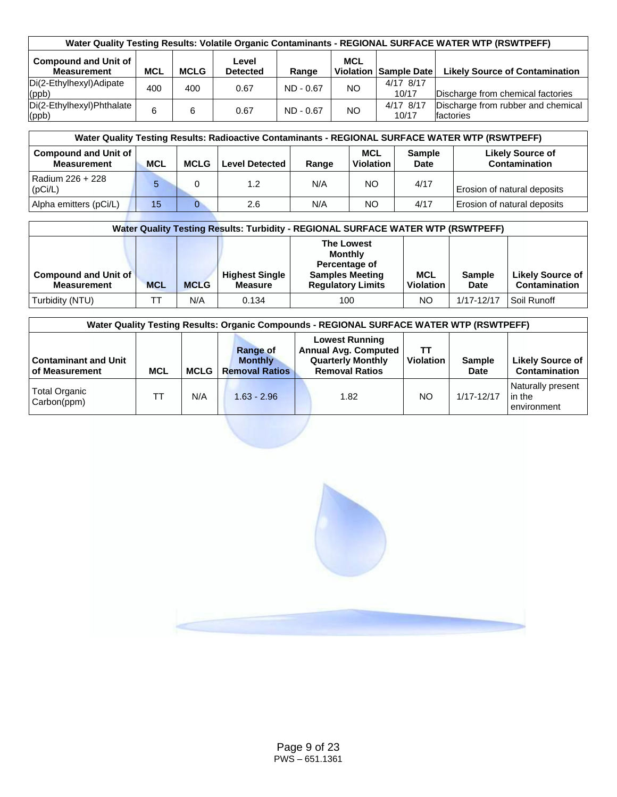| Water Quality Testing Results: Volatile Organic Contaminants - REGIONAL SURFACE WATER WTP (RSWTPEFF) |            |             |                          |             |            |                              |                                                        |  |  |  |
|------------------------------------------------------------------------------------------------------|------------|-------------|--------------------------|-------------|------------|------------------------------|--------------------------------------------------------|--|--|--|
| <b>Compound and Unit of</b><br><b>Measurement</b>                                                    | <b>MCL</b> | <b>MCLG</b> | Level<br><b>Detected</b> | Range       | <b>MCL</b> | <b>Violation Sample Date</b> | <b>Likely Source of Contamination</b>                  |  |  |  |
| Di(2-Ethylhexyl)Adipate<br>(ppb)                                                                     | 400        | 400         | 0.67                     | $ND - 0.67$ | NO.        | 4/17 8/17<br>10/17           | Discharge from chemical factories                      |  |  |  |
| Di(2-Ethylhexyl)Phthalate<br>(ppb)                                                                   | 6          | 6           | 0.67                     | $ND - 0.67$ | NO         | 4/17 8/17<br>10/17           | Discharge from rubber and chemical<br><b>factories</b> |  |  |  |

| Water Quality Testing Results: Radioactive Contaminants - REGIONAL SURFACE WATER WTP (RSWTPEFF) |            |             |                       |       |                                |                              |                                          |  |  |  |  |
|-------------------------------------------------------------------------------------------------|------------|-------------|-----------------------|-------|--------------------------------|------------------------------|------------------------------------------|--|--|--|--|
| <b>Compound and Unit of</b><br><b>Measurement</b>                                               | <b>MCL</b> | <b>MCLG</b> | <b>Level Detected</b> | Range | <b>MCL</b><br><b>Violation</b> | <b>Sample</b><br><b>Date</b> | <b>Likely Source of</b><br>Contamination |  |  |  |  |
| Radium 226 + 228<br>(pCi/L)                                                                     | 5          |             | 1.2                   | N/A   | NO.                            | 4/17                         | Erosion of natural deposits              |  |  |  |  |
| Alpha emitters (pCi/L)                                                                          | 15         | O           | 2.6                   | N/A   | NO.                            | 4/17                         | Erosion of natural deposits              |  |  |  |  |

|                                                   | Water Quality Testing Results: Turbidity - REGIONAL SURFACE WATER WTP (RSWTPEFF) |             |                                         |                                                                                                            |                                |                              |                                          |  |  |  |  |  |  |
|---------------------------------------------------|----------------------------------------------------------------------------------|-------------|-----------------------------------------|------------------------------------------------------------------------------------------------------------|--------------------------------|------------------------------|------------------------------------------|--|--|--|--|--|--|
| <b>Compound and Unit of</b><br><b>Measurement</b> | <b>MCL</b>                                                                       | <b>MCLG</b> | <b>Highest Single</b><br><b>Measure</b> | <b>The Lowest</b><br><b>Monthly</b><br>Percentage of<br><b>Samples Meeting</b><br><b>Regulatory Limits</b> | <b>MCL</b><br><b>Violation</b> | <b>Sample</b><br><b>Date</b> | <b>Likely Source of</b><br>Contamination |  |  |  |  |  |  |
| Turbidity (NTU)                                   |                                                                                  | N/A         | 0.134                                   | 100                                                                                                        | NO                             | 1/17-12/17                   | Soil Runoff                              |  |  |  |  |  |  |

| Water Quality Testing Results: Organic Compounds - REGIONAL SURFACE WATER WTP (RSWTPEFF) |            |             |                                                            |                                                                                                           |                  |                       |                                            |  |  |  |  |
|------------------------------------------------------------------------------------------|------------|-------------|------------------------------------------------------------|-----------------------------------------------------------------------------------------------------------|------------------|-----------------------|--------------------------------------------|--|--|--|--|
| <b>Contaminant and Unit</b><br>of Measurement                                            | <b>MCL</b> | <b>MCLG</b> | <b>Range of</b><br><b>Monthly</b><br><b>Removal Ratios</b> | <b>Lowest Running</b><br><b>Annual Avg. Computed</b><br><b>Quarterly Monthly</b><br><b>Removal Ratios</b> | <b>Violation</b> | <b>Sample</b><br>Date | Likely Source of<br>Contamination          |  |  |  |  |
| Total Organic<br>Carbon(ppm)                                                             |            | N/A         | $1.63 - 2.96$                                              | 1.82                                                                                                      | NO               | 1/17-12/17            | Naturally present<br>in the<br>environment |  |  |  |  |

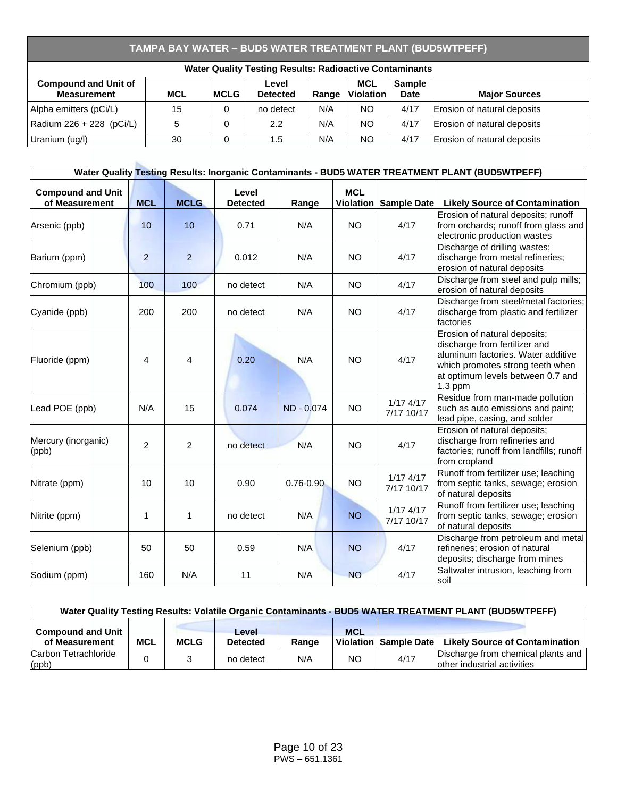# **TAMPA BAY WATER – BUD5 WATER TREATMENT PLANT (BUD5WTPEFF)**

| <b>Water Quality Testing Results: Radioactive Contaminants</b>                                                                                                                                                |    |   |           |     |           |      |                             |  |  |  |  |  |
|---------------------------------------------------------------------------------------------------------------------------------------------------------------------------------------------------------------|----|---|-----------|-----|-----------|------|-----------------------------|--|--|--|--|--|
| <b>MCL</b><br><b>Sample</b><br><b>Compound and Unit of</b><br>Level<br><b>Measurement</b><br><b>MCL</b><br><b>MCLG</b><br><b>Violation</b><br><b>Date</b><br><b>Detected</b><br><b>Major Sources</b><br>Range |    |   |           |     |           |      |                             |  |  |  |  |  |
| Alpha emitters (pCi/L)                                                                                                                                                                                        | 15 |   | no detect | N/A | <b>NO</b> | 4/17 | Erosion of natural deposits |  |  |  |  |  |
| Radium 226 + 228 (pCi/L)                                                                                                                                                                                      |    |   | 2.2       | N/A | <b>NO</b> | 4/17 | Erosion of natural deposits |  |  |  |  |  |
| Uranium (ug/l)                                                                                                                                                                                                | 30 | 0 | 1.5       | N/A | <b>NO</b> | 4/17 | Erosion of natural deposits |  |  |  |  |  |

|                                            |                |                |                          |               |            |                             | Water Quality Testing Results: Inorganic Contaminants - BUD5 WATER TREATMENT PLANT (BUD5WTPEFF)                                                                                           |
|--------------------------------------------|----------------|----------------|--------------------------|---------------|------------|-----------------------------|-------------------------------------------------------------------------------------------------------------------------------------------------------------------------------------------|
| <b>Compound and Unit</b><br>of Measurement | <b>MCL</b>     | <b>MCLG</b>    | Level<br><b>Detected</b> | Range         | <b>MCL</b> | Violation Sample Date       | <b>Likely Source of Contamination</b>                                                                                                                                                     |
| Arsenic (ppb)                              | 10             | 10             | 0.71                     | N/A           | <b>NO</b>  | 4/17                        | Erosion of natural deposits; runoff<br>from orchards; runoff from glass and<br>electronic production wastes                                                                               |
| Barium (ppm)                               | $\overline{2}$ | $\overline{2}$ | 0.012                    | N/A           | <b>NO</b>  | 4/17                        | Discharge of drilling wastes;<br>discharge from metal refineries;<br>erosion of natural deposits                                                                                          |
| Chromium (ppb)                             | 100            | 100            | no detect                | N/A           | <b>NO</b>  | 4/17                        | Discharge from steel and pulp mills;<br>erosion of natural deposits                                                                                                                       |
| Cyanide (ppb)                              | 200            | 200            | no detect                | N/A           | <b>NO</b>  | 4/17                        | Discharge from steel/metal factories;<br>discharge from plastic and fertilizer<br>factories                                                                                               |
| Fluoride (ppm)                             | 4              | 4              | 0.20                     | N/A           | <b>NO</b>  | 4/17                        | Erosion of natural deposits;<br>discharge from fertilizer and<br>aluminum factories. Water additive<br>which promotes strong teeth when<br>at optimum levels between 0.7 and<br>$1.3$ ppm |
| Lead POE (ppb)                             | N/A            | 15             | 0.074                    | ND - 0.074    | <b>NO</b>  | $1/17$ $4/17$<br>7/17 10/17 | Residue from man-made pollution<br>such as auto emissions and paint;<br>lead pipe, casing, and solder                                                                                     |
| Mercury (inorganic)<br>(ppb)               | $\overline{2}$ | $\overline{2}$ | no detect                | N/A           | <b>NO</b>  | 4/17                        | Erosion of natural deposits;<br>discharge from refineries and<br>factories; runoff from landfills; runoff<br>from cropland                                                                |
| Nitrate (ppm)                              | 10             | 10             | 0.90                     | $0.76 - 0.90$ | <b>NO</b>  | 1/174/17<br>7/17 10/17      | Runoff from fertilizer use; leaching<br>from septic tanks, sewage; erosion<br>of natural deposits                                                                                         |
| Nitrite (ppm)                              | 1              | $\mathbf{1}$   | no detect                | N/A           | <b>NO</b>  | $1/17$ $4/17$<br>7/17 10/17 | Runoff from fertilizer use; leaching<br>from septic tanks, sewage; erosion<br>of natural deposits                                                                                         |
| Selenium (ppb)                             | 50             | 50             | 0.59                     | N/A           | <b>NO</b>  | 4/17                        | Discharge from petroleum and metal<br>refineries; erosion of natural<br>deposits; discharge from mines                                                                                    |
| Sodium (ppm)                               | 160            | N/A            | 11                       | N/A           | <b>NO</b>  | 4/17                        | Saltwater intrusion, leaching from<br>soil                                                                                                                                                |

| Water Quality Testing Results: Volatile Organic Contaminants - BUD5 WATER TREATMENT PLANT (BUD5WTPEFF) |            |             |                                 |       |            |                       |                                                                   |  |  |  |  |
|--------------------------------------------------------------------------------------------------------|------------|-------------|---------------------------------|-------|------------|-----------------------|-------------------------------------------------------------------|--|--|--|--|
| <b>Compound and Unit</b><br>of Measurement                                                             | <b>MCL</b> | <b>MCLG</b> | <b>Level</b><br><b>Detected</b> | Range | <b>MCL</b> | Violation Sample Date | <b>Likely Source of Contamination</b>                             |  |  |  |  |
| Carbon Tetrachloride<br>$\vert$ (ppb)                                                                  |            |             | no detect                       | N/A   | NO.        | 4/17                  | Discharge from chemical plants and<br>other industrial activities |  |  |  |  |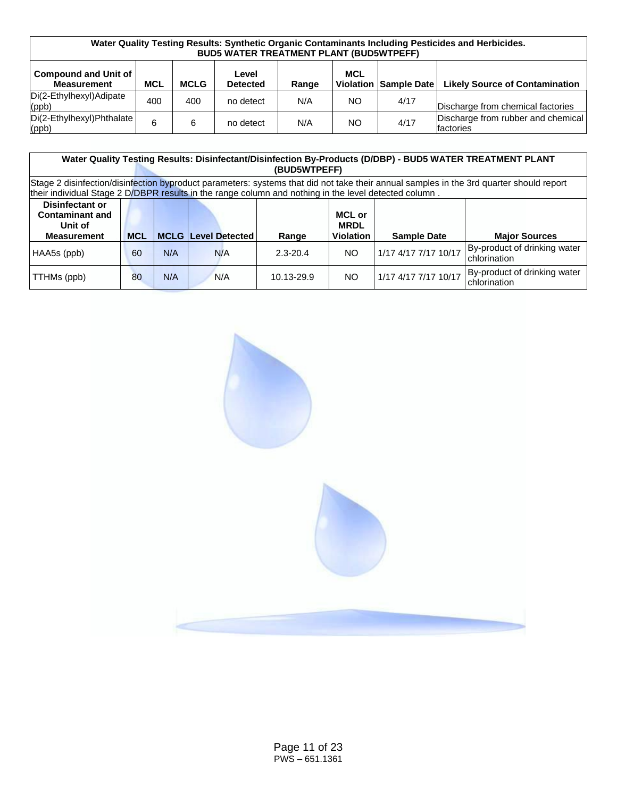| Water Quality Testing Results: Synthetic Organic Contaminants Including Pesticides and Herbicides.<br><b>BUD5 WATER TREATMENT PLANT (BUD5WTPEFF)</b> |            |             |                          |       |                                |             |                                                 |  |  |  |  |
|------------------------------------------------------------------------------------------------------------------------------------------------------|------------|-------------|--------------------------|-------|--------------------------------|-------------|-------------------------------------------------|--|--|--|--|
| <b>Compound and Unit of</b><br><b>Measurement</b>                                                                                                    | <b>MCL</b> | <b>MCLG</b> | Level<br><b>Detected</b> | Range | <b>MCL</b><br><b>Violation</b> | Sample Date | <b>Likely Source of Contamination</b>           |  |  |  |  |
| Di(2-Ethylhexyl)Adipate<br>(ppb)                                                                                                                     | 400        | 400         | no detect                | N/A   | NO.                            | 4/17        | Discharge from chemical factories               |  |  |  |  |
| Di(2-Ethylhexyl)Phthalate<br>$ $ (ppb)                                                                                                               | 6          | 6           | no detect                | N/A   | NO.                            | 4/17        | Discharge from rubber and chemical<br>factories |  |  |  |  |

|                                                                                                                                                                                                                                                  | Water Quality Testing Results: Disinfectant/Disinfection By-Products (D/DBP) - BUD5 WATER TREATMENT PLANT<br>(BUD5WTPEFF) |     |     |            |           |                      |                                              |  |  |  |  |  |  |
|--------------------------------------------------------------------------------------------------------------------------------------------------------------------------------------------------------------------------------------------------|---------------------------------------------------------------------------------------------------------------------------|-----|-----|------------|-----------|----------------------|----------------------------------------------|--|--|--|--|--|--|
| Stage 2 disinfection/disinfection byproduct parameters: systems that did not take their annual samples in the 3rd quarter should report<br>their individual Stage 2 D/DBPR results in the range column and nothing in the level detected column. |                                                                                                                           |     |     |            |           |                      |                                              |  |  |  |  |  |  |
| Disinfectant or<br><b>Contaminant and</b><br>MCL or<br><b>MRDL</b><br>Unit of<br><b>MCL</b><br><b>MCLG Level Detected</b><br><b>Violation</b><br><b>Measurement</b><br><b>Sample Date</b><br><b>Major Sources</b><br>Range                       |                                                                                                                           |     |     |            |           |                      |                                              |  |  |  |  |  |  |
| HAA5s (ppb)                                                                                                                                                                                                                                      | By-product of drinking water<br>1/17 4/17 7/17 10/17<br>N/A<br>N/A<br><b>NO</b><br>60<br>2.3-20.4<br>chlorination         |     |     |            |           |                      |                                              |  |  |  |  |  |  |
| TTHMs (ppb)                                                                                                                                                                                                                                      | 80                                                                                                                        | N/A | N/A | 10.13-29.9 | <b>NO</b> | 1/17 4/17 7/17 10/17 | By-product of drinking water<br>chlorination |  |  |  |  |  |  |

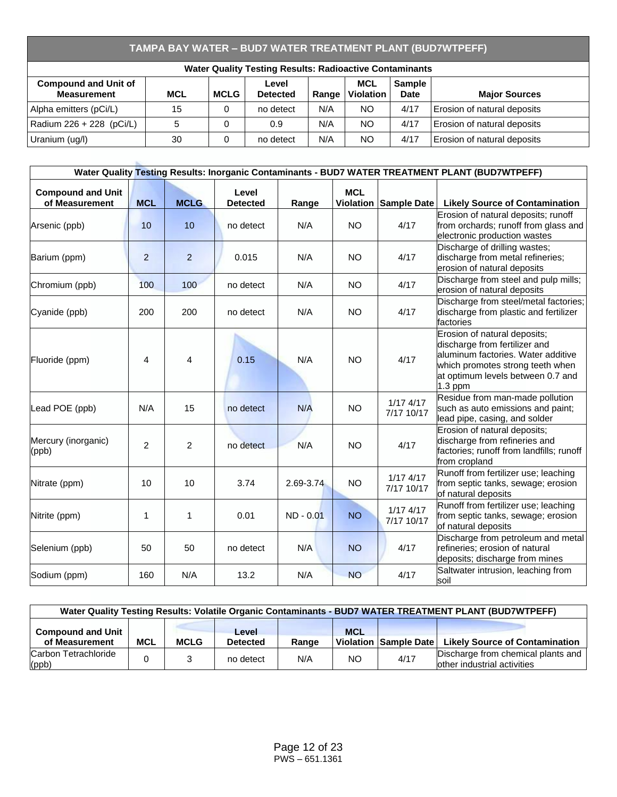# **TAMPA BAY WATER – BUD7 WATER TREATMENT PLANT (BUD7WTPEFF)**

| <b>Water Quality Testing Results: Radioactive Contaminants</b>                                                                                                                                         |    |  |           |     |           |      |                             |  |  |  |  |
|--------------------------------------------------------------------------------------------------------------------------------------------------------------------------------------------------------|----|--|-----------|-----|-----------|------|-----------------------------|--|--|--|--|
| <b>Compound and Unit of</b><br><b>MCL</b><br><b>Sample</b><br>Level<br><b>Measurement</b><br><b>MCL</b><br><b>MCLG</b><br><b>Violation</b><br>Date<br><b>Detected</b><br><b>Major Sources</b><br>Range |    |  |           |     |           |      |                             |  |  |  |  |
| Alpha emitters (pCi/L)                                                                                                                                                                                 | 15 |  | no detect | N/A | <b>NO</b> | 4/17 | Erosion of natural deposits |  |  |  |  |
| Radium 226 + 228 (pCi/L)                                                                                                                                                                               | 5  |  | 0.9       | N/A | <b>NO</b> | 4/17 | Erosion of natural deposits |  |  |  |  |
| Uranium (ug/l)                                                                                                                                                                                         | 30 |  | no detect | N/A | <b>NO</b> | 4/17 | Erosion of natural deposits |  |  |  |  |

|                                            |                |                |                          |           |                                |                             | Water Quality Testing Results: Inorganic Contaminants - BUD7 WATER TREATMENT PLANT (BUD7WTPEFF)                                                                                           |
|--------------------------------------------|----------------|----------------|--------------------------|-----------|--------------------------------|-----------------------------|-------------------------------------------------------------------------------------------------------------------------------------------------------------------------------------------|
| <b>Compound and Unit</b><br>of Measurement | <b>MCL</b>     | <b>MCLG</b>    | Level<br><b>Detected</b> | Range     | <b>MCL</b><br><b>Violation</b> | Sample Date                 | <b>Likely Source of Contamination</b>                                                                                                                                                     |
| Arsenic (ppb)                              | 10             | 10             | no detect                | N/A       | <b>NO</b>                      | 4/17                        | Erosion of natural deposits; runoff<br>from orchards; runoff from glass and<br>electronic production wastes                                                                               |
| Barium (ppm)                               | $\overline{2}$ | $\overline{2}$ | 0.015                    | N/A       | <b>NO</b>                      | 4/17                        | Discharge of drilling wastes;<br>discharge from metal refineries;<br>erosion of natural deposits                                                                                          |
| Chromium (ppb)                             | 100            | 100            | no detect                | N/A       | <b>NO</b>                      | 4/17                        | Discharge from steel and pulp mills;<br>erosion of natural deposits                                                                                                                       |
| Cyanide (ppb)                              | 200            | 200            | no detect                | N/A       | <b>NO</b>                      | 4/17                        | Discharge from steel/metal factories;<br>discharge from plastic and fertilizer<br>factories                                                                                               |
| Fluoride (ppm)                             | 4              | 4              | 0.15                     | N/A       | <b>NO</b>                      | 4/17                        | Erosion of natural deposits;<br>discharge from fertilizer and<br>aluminum factories. Water additive<br>which promotes strong teeth when<br>at optimum levels between 0.7 and<br>$1.3$ ppm |
| Lead POE (ppb)                             | N/A            | 15             | no detect                | N/A       | <b>NO</b>                      | $1/17$ $4/17$<br>7/17 10/17 | Residue from man-made pollution<br>such as auto emissions and paint;<br>lead pipe, casing, and solder                                                                                     |
| Mercury (inorganic)<br>(ppb)               | $\overline{2}$ | $\overline{2}$ | no detect                | N/A       | <b>NO</b>                      | 4/17                        | Erosion of natural deposits;<br>discharge from refineries and<br>factories; runoff from landfills; runoff<br>from cropland                                                                |
| Nitrate (ppm)                              | 10             | 10             | 3.74                     | 2.69-3.74 | <b>NO</b>                      | $1/17$ $4/17$<br>7/17 10/17 | Runoff from fertilizer use; leaching<br>from septic tanks, sewage; erosion<br>of natural deposits                                                                                         |
| Nitrite (ppm)                              | 1              | 1              | 0.01                     | ND - 0.01 | <b>NO</b>                      | $1/17$ $4/17$<br>7/17 10/17 | Runoff from fertilizer use; leaching<br>from septic tanks, sewage; erosion<br>of natural deposits                                                                                         |
| Selenium (ppb)                             | 50             | 50             | no detect                | N/A       | <b>NO</b>                      | 4/17                        | Discharge from petroleum and metal<br>refineries; erosion of natural<br>deposits; discharge from mines                                                                                    |
| Sodium (ppm)                               | 160            | N/A            | 13.2                     | N/A       | <b>NO</b>                      | 4/17                        | Saltwater intrusion, leaching from<br>soil                                                                                                                                                |

| Water Quality Testing Results: Volatile Organic Contaminants - BUD7 WATER TREATMENT PLANT (BUD7WTPEFF)                                                                                       |  |  |           |     |     |      |                                                                   |  |  |  |  |
|----------------------------------------------------------------------------------------------------------------------------------------------------------------------------------------------|--|--|-----------|-----|-----|------|-------------------------------------------------------------------|--|--|--|--|
| <b>MCL</b><br><b>Compound and Unit</b><br>Level<br>of Measurement<br><b>MCL</b><br><b>MCLG</b><br><b>Likely Source of Contamination</b><br>Violation Sample Date<br><b>Detected</b><br>Range |  |  |           |     |     |      |                                                                   |  |  |  |  |
| Carbon Tetrachloride<br>$\vert$ (ppb)                                                                                                                                                        |  |  | no detect | N/A | NO. | 4/17 | Discharge from chemical plants and<br>other industrial activities |  |  |  |  |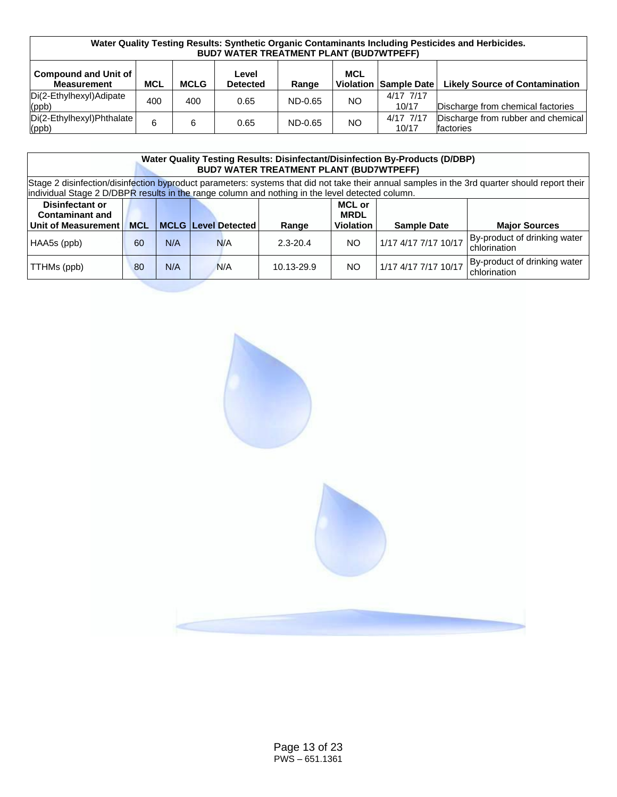| Water Quality Testing Results: Synthetic Organic Contaminants Including Pesticides and Herbicides.<br><b>BUD7 WATER TREATMENT PLANT (BUD7WTPEFF)</b>                                                |     |     |      |         |     |                    |                                                 |  |  |  |  |
|-----------------------------------------------------------------------------------------------------------------------------------------------------------------------------------------------------|-----|-----|------|---------|-----|--------------------|-------------------------------------------------|--|--|--|--|
| <b>Compound and Unit of</b><br><b>MCL</b><br>Level<br><b>Likely Source of Contamination</b><br><b>MCL</b><br><b>MCLG</b><br>Violation Sample Date<br><b>Measurement</b><br><b>Detected</b><br>Range |     |     |      |         |     |                    |                                                 |  |  |  |  |
| Di(2-Ethylhexyl)Adipate<br>(ppb)                                                                                                                                                                    | 400 | 400 | 0.65 | ND-0.65 | NO. | 4/17 7/17<br>10/17 | Discharge from chemical factories               |  |  |  |  |
| Di(2-Ethylhexyl)Phthalate<br>$ $ (ppb)                                                                                                                                                              | 6   | 6   | 0.65 | ND-0.65 | NO. | 4/17 7/17<br>10/17 | Discharge from rubber and chemical<br>factories |  |  |  |  |

|                                                                                                                                                                                                                                                  | <b>Water Quality Testing Results: Disinfectant/Disinfection By-Products (D/DBP)</b><br><b>BUD7 WATER TREATMENT PLANT (BUD7WTPEFF)</b> |  |  |  |  |  |  |  |  |  |  |  |  |
|--------------------------------------------------------------------------------------------------------------------------------------------------------------------------------------------------------------------------------------------------|---------------------------------------------------------------------------------------------------------------------------------------|--|--|--|--|--|--|--|--|--|--|--|--|
| Stage 2 disinfection/disinfection byproduct parameters: systems that did not take their annual samples in the 3rd quarter should report their<br>individual Stage 2 D/DBPR results in the range column and nothing in the level detected column. |                                                                                                                                       |  |  |  |  |  |  |  |  |  |  |  |  |
| Disinfectant or<br><b>MCL or</b><br><b>Contaminant and</b><br><b>MRDL</b><br>Unit of Measurement<br><b>MCL</b><br><b>MCLG Level Detected</b><br><b>Violation</b><br><b>Major Sources</b><br><b>Sample Date</b><br>Range                          |                                                                                                                                       |  |  |  |  |  |  |  |  |  |  |  |  |
| HAA5s (ppb)                                                                                                                                                                                                                                      | By-product of drinking water<br>1/17 4/17 7/17 10/17<br>N/A<br>NO.<br>N/A<br>$2.3 - 20.4$<br>60<br>chlorination                       |  |  |  |  |  |  |  |  |  |  |  |  |
| TTHMs (ppb)                                                                                                                                                                                                                                      | By-product of drinking water<br>1/17 4/17 7/17 10/17<br>N/A<br>NO.<br>80<br>N/A<br>10.13-29.9<br>chlorination                         |  |  |  |  |  |  |  |  |  |  |  |  |

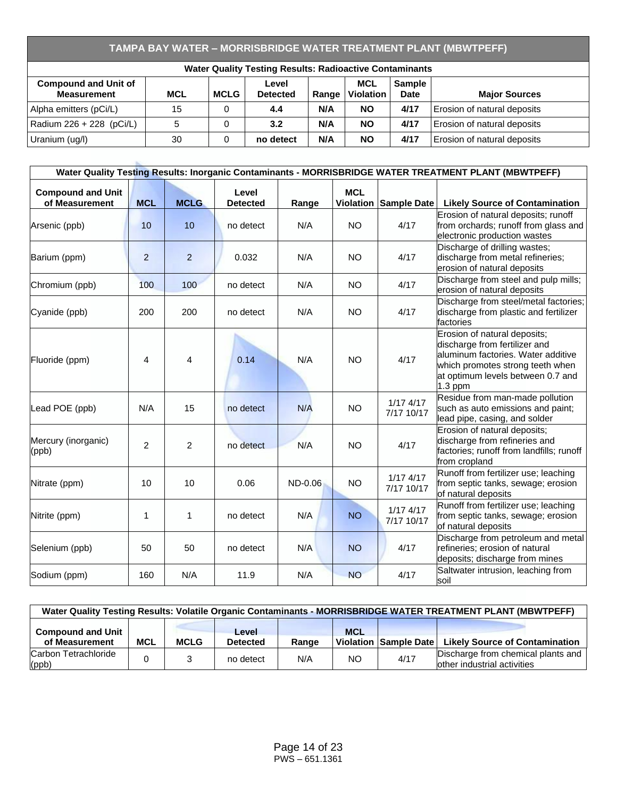# **TAMPA BAY WATER – MORRISBRIDGE WATER TREATMENT PLANT (MBWTPEFF)**

| <b>Water Quality Testing Results: Radioactive Contaminants</b>                                                                                                                                  |    |   |           |     |           |      |                             |  |  |  |  |
|-------------------------------------------------------------------------------------------------------------------------------------------------------------------------------------------------|----|---|-----------|-----|-----------|------|-----------------------------|--|--|--|--|
| MCL<br><b>Compound and Unit of</b><br>Sample<br>Level<br><b>Violation</b><br><b>MCL</b><br><b>MCLG</b><br><b>Measurement</b><br><b>Detected</b><br>Range<br><b>Major Sources</b><br><b>Date</b> |    |   |           |     |           |      |                             |  |  |  |  |
| Alpha emitters (pCi/L)                                                                                                                                                                          | 15 | 0 | 4.4       | N/A | <b>NO</b> | 4/17 | Erosion of natural deposits |  |  |  |  |
| Radium 226 + 228 (pCi/L)                                                                                                                                                                        | 5  | 0 | 3.2       | N/A | <b>NO</b> | 4/17 | Erosion of natural deposits |  |  |  |  |
| Uranium (ug/l)                                                                                                                                                                                  | 30 | 0 | no detect | N/A | <b>NO</b> | 4/17 | Erosion of natural deposits |  |  |  |  |

|                                            |                |                |                          |         |            |                             | Water Quality Testing Results: Inorganic Contaminants - MORRISBRIDGE WATER TREATMENT PLANT (MBWTPEFF)                                                                                     |
|--------------------------------------------|----------------|----------------|--------------------------|---------|------------|-----------------------------|-------------------------------------------------------------------------------------------------------------------------------------------------------------------------------------------|
| <b>Compound and Unit</b><br>of Measurement | <b>MCL</b>     | <b>MCLG</b>    | Level<br><b>Detected</b> | Range   | <b>MCL</b> | Violation Sample Date       | <b>Likely Source of Contamination</b>                                                                                                                                                     |
| Arsenic (ppb)                              | 10             | 10             | no detect                | N/A     | <b>NO</b>  | 4/17                        | Erosion of natural deposits; runoff<br>from orchards; runoff from glass and<br>electronic production wastes                                                                               |
| Barium (ppm)                               | $\overline{2}$ | $\overline{2}$ | 0.032                    | N/A     | <b>NO</b>  | 4/17                        | Discharge of drilling wastes;<br>discharge from metal refineries;<br>erosion of natural deposits                                                                                          |
| Chromium (ppb)                             | 100            | 100            | no detect                | N/A     | <b>NO</b>  | 4/17                        | Discharge from steel and pulp mills;<br>erosion of natural deposits                                                                                                                       |
| Cyanide (ppb)                              | 200            | 200            | no detect                | N/A     | <b>NO</b>  | 4/17                        | Discharge from steel/metal factories;<br>discharge from plastic and fertilizer<br>factories                                                                                               |
| Fluoride (ppm)                             | 4              | 4              | 0.14                     | N/A     | <b>NO</b>  | 4/17                        | Erosion of natural deposits;<br>discharge from fertilizer and<br>aluminum factories. Water additive<br>which promotes strong teeth when<br>at optimum levels between 0.7 and<br>$1.3$ ppm |
| Lead POE (ppb)                             | N/A            | 15             | no detect                | N/A     | NO         | $1/17$ 4/17<br>7/17 10/17   | Residue from man-made pollution<br>such as auto emissions and paint;<br>lead pipe, casing, and solder                                                                                     |
| Mercury (inorganic)<br>(ppb)               | $\overline{2}$ | $\overline{c}$ | no detect                | N/A     | <b>NO</b>  | 4/17                        | Erosion of natural deposits;<br>discharge from refineries and<br>factories; runoff from landfills; runoff<br>from cropland                                                                |
| Nitrate (ppm)                              | 10             | 10             | 0.06                     | ND-0.06 | <b>NO</b>  | $1/17$ 4/17<br>7/17 10/17   | Runoff from fertilizer use; leaching<br>from septic tanks, sewage; erosion<br>of natural deposits                                                                                         |
| Nitrite (ppm)                              | 1              | 1              | no detect                | N/A     | <b>NO</b>  | $1/17$ $4/17$<br>7/17 10/17 | Runoff from fertilizer use; leaching<br>from septic tanks, sewage; erosion<br>of natural deposits                                                                                         |
| Selenium (ppb)                             | 50             | 50             | no detect                | N/A     | <b>NO</b>  | 4/17                        | Discharge from petroleum and metal<br>refineries; erosion of natural<br>deposits; discharge from mines                                                                                    |
| Sodium (ppm)                               | 160            | N/A            | 11.9                     | N/A     | <b>NO</b>  | 4/17                        | Saltwater intrusion, leaching from<br>soil                                                                                                                                                |

| Water Quality Testing Results: Volatile Organic Contaminants - MORRISBRIDGE WATER TREATMENT PLANT (MBWTPEFF)                                                                                 |  |  |           |     |     |      |                                                                   |  |  |  |  |
|----------------------------------------------------------------------------------------------------------------------------------------------------------------------------------------------|--|--|-----------|-----|-----|------|-------------------------------------------------------------------|--|--|--|--|
| <b>Compound and Unit</b><br><b>MCL</b><br>Level<br>of Measurement<br><b>Likely Source of Contamination</b><br><b>MCL</b><br><b>MCLG</b><br>Violation Sample Date<br>Range<br><b>Detected</b> |  |  |           |     |     |      |                                                                   |  |  |  |  |
| Carbon Tetrachloride<br>$\vert$ (ppb)                                                                                                                                                        |  |  | no detect | N/A | NO. | 4/17 | Discharge from chemical plants and<br>other industrial activities |  |  |  |  |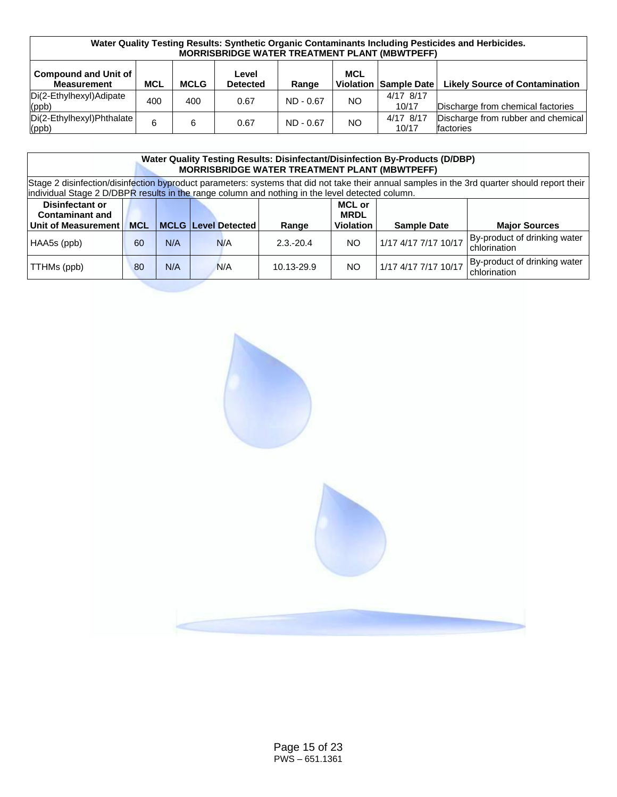| Water Quality Testing Results: Synthetic Organic Contaminants Including Pesticides and Herbicides.<br><b>MORRISBRIDGE WATER TREATMENT PLANT (MBWTPEFF)</b>                                                    |     |     |      |             |     |                    |                                                 |  |  |  |  |
|---------------------------------------------------------------------------------------------------------------------------------------------------------------------------------------------------------------|-----|-----|------|-------------|-----|--------------------|-------------------------------------------------|--|--|--|--|
| <b>Compound and Unit of</b><br><b>MCL</b><br>Level<br><b>Likely Source of Contamination</b><br><b>MCL</b><br><b>MCLG</b><br><b>Violation</b><br>Sample Date<br><b>Measurement</b><br><b>Detected</b><br>Range |     |     |      |             |     |                    |                                                 |  |  |  |  |
| Di(2-Ethylhexyl)Adipate<br>(ppb)                                                                                                                                                                              | 400 | 400 | 0.67 | $ND - 0.67$ | NO. | 4/17 8/17<br>10/17 | Discharge from chemical factories               |  |  |  |  |
| Di(2-Ethylhexyl)Phthalate<br>$ $ (ppb)                                                                                                                                                                        | 6   | 6   | 0.67 | $ND - 0.67$ | NO  | 4/17 8/17<br>10/17 | Discharge from rubber and chemical<br>factories |  |  |  |  |

|                                                                                                                                                                                                                                                  | <b>Water Quality Testing Results: Disinfectant/Disinfection By-Products (D/DBP)</b><br><b>MORRISBRIDGE WATER TREATMENT PLANT (MBWTPEFF)</b> |  |  |  |  |  |  |  |  |  |  |  |  |
|--------------------------------------------------------------------------------------------------------------------------------------------------------------------------------------------------------------------------------------------------|---------------------------------------------------------------------------------------------------------------------------------------------|--|--|--|--|--|--|--|--|--|--|--|--|
| Stage 2 disinfection/disinfection byproduct parameters: systems that did not take their annual samples in the 3rd quarter should report their<br>individual Stage 2 D/DBPR results in the range column and nothing in the level detected column. |                                                                                                                                             |  |  |  |  |  |  |  |  |  |  |  |  |
| <b>Disinfectant or</b><br><b>MCL or</b><br><b>Contaminant and</b><br><b>MRDL</b><br><b>MCLG Level Detected</b><br>Unit of Measurement<br><b>MCL</b><br><b>Violation</b><br><b>Sample Date</b><br><b>Major Sources</b><br>Range                   |                                                                                                                                             |  |  |  |  |  |  |  |  |  |  |  |  |
| HAA5s (ppb)                                                                                                                                                                                                                                      | By-product of drinking water<br>1/17 4/17 7/17 10/17<br>N/A<br>NO.<br>N/A<br>$2.3 - 20.4$<br>60<br>chlorination                             |  |  |  |  |  |  |  |  |  |  |  |  |
| TTHMs (ppb)                                                                                                                                                                                                                                      | By-product of drinking water<br>1/17 4/17 7/17 10/17<br>N/A<br>NO.<br>80<br>N/A<br>10.13-29.9<br>chlorination                               |  |  |  |  |  |  |  |  |  |  |  |  |

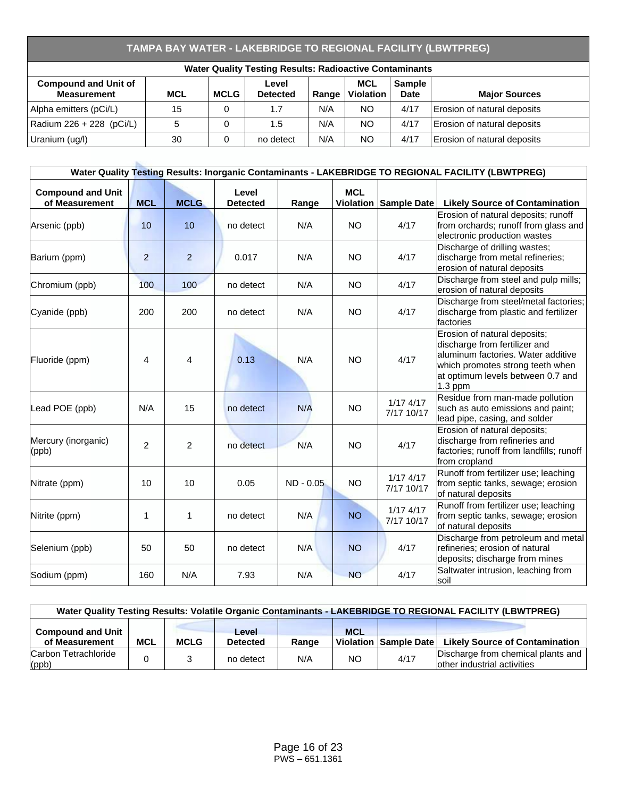# **TAMPA BAY WATER - LAKEBRIDGE TO REGIONAL FACILITY (LBWTPREG)**

| <b>Water Quality Testing Results: Radioactive Contaminants</b>                                                                                                                                         |    |   |           |     |           |      |                             |  |  |  |  |
|--------------------------------------------------------------------------------------------------------------------------------------------------------------------------------------------------------|----|---|-----------|-----|-----------|------|-----------------------------|--|--|--|--|
| <b>MCL</b><br><b>Compound and Unit of</b><br><b>Sample</b><br>Level<br>Violation<br><b>MCLG</b><br><b>Measurement</b><br><b>MCL</b><br><b>Date</b><br><b>Detected</b><br><b>Major Sources</b><br>Range |    |   |           |     |           |      |                             |  |  |  |  |
| Alpha emitters (pCi/L)                                                                                                                                                                                 | 15 | 0 | 1.7       | N/A | <b>NO</b> | 4/17 | Erosion of natural deposits |  |  |  |  |
| Radium 226 + 228 (pCi/L)                                                                                                                                                                               |    |   | 1.5       | N/A | <b>NO</b> | 4/17 | Erosion of natural deposits |  |  |  |  |
| Uranium (ug/l)                                                                                                                                                                                         | 30 | 0 | no detect | N/A | <b>NO</b> | 4/17 | Erosion of natural deposits |  |  |  |  |

|                                            |                |                |                          |             |            |                             | Water Quality Testing Results: Inorganic Contaminants - LAKEBRIDGE TO REGIONAL FACILITY (LBWTPREG)                                                                                        |
|--------------------------------------------|----------------|----------------|--------------------------|-------------|------------|-----------------------------|-------------------------------------------------------------------------------------------------------------------------------------------------------------------------------------------|
| <b>Compound and Unit</b><br>of Measurement | <b>MCL</b>     | <b>MCLG</b>    | Level<br><b>Detected</b> | Range       | <b>MCL</b> | Violation Sample Date       | <b>Likely Source of Contamination</b>                                                                                                                                                     |
| Arsenic (ppb)                              | 10             | 10             | no detect                | N/A         | <b>NO</b>  | 4/17                        | Erosion of natural deposits; runoff<br>from orchards; runoff from glass and<br>electronic production wastes                                                                               |
| Barium (ppm)                               | $\overline{2}$ | $\overline{2}$ | 0.017                    | N/A         | <b>NO</b>  | 4/17                        | Discharge of drilling wastes;<br>discharge from metal refineries;<br>erosion of natural deposits                                                                                          |
| Chromium (ppb)                             | 100            | 100            | no detect                | N/A         | <b>NO</b>  | 4/17                        | Discharge from steel and pulp mills;<br>erosion of natural deposits                                                                                                                       |
| Cyanide (ppb)                              | 200            | 200            | no detect                | N/A         | <b>NO</b>  | 4/17                        | Discharge from steel/metal factories;<br>discharge from plastic and fertilizer<br>factories                                                                                               |
| Fluoride (ppm)                             | 4              | 4              | 0.13                     | N/A         | <b>NO</b>  | 4/17                        | Erosion of natural deposits;<br>discharge from fertilizer and<br>aluminum factories. Water additive<br>which promotes strong teeth when<br>at optimum levels between 0.7 and<br>$1.3$ ppm |
| Lead POE (ppb)                             | N/A            | 15             | no detect                | N/A         | <b>NO</b>  | $1/17$ $4/17$<br>7/17 10/17 | Residue from man-made pollution<br>such as auto emissions and paint;<br>lead pipe, casing, and solder                                                                                     |
| Mercury (inorganic)<br>(ppb)               | $\overline{2}$ | $\overline{2}$ | no detect                | N/A         | <b>NO</b>  | 4/17                        | Erosion of natural deposits;<br>discharge from refineries and<br>factories; runoff from landfills; runoff<br>from cropland                                                                |
| Nitrate (ppm)                              | 10             | 10             | 0.05                     | $ND - 0.05$ | <b>NO</b>  | $1/17$ 4/17<br>7/17 10/17   | Runoff from fertilizer use; leaching<br>from septic tanks, sewage; erosion<br>of natural deposits                                                                                         |
| Nitrite (ppm)                              | 1              | $\mathbf{1}$   | no detect                | N/A         | <b>NO</b>  | $1/17$ $4/17$<br>7/17 10/17 | Runoff from fertilizer use; leaching<br>from septic tanks, sewage; erosion<br>of natural deposits                                                                                         |
| Selenium (ppb)                             | 50             | 50             | no detect                | N/A         | <b>NO</b>  | 4/17                        | Discharge from petroleum and metal<br>refineries; erosion of natural<br>deposits; discharge from mines                                                                                    |
| Sodium (ppm)                               | 160            | N/A            | 7.93                     | N/A         | <b>NO</b>  | 4/17                        | Saltwater intrusion, leaching from<br>soil                                                                                                                                                |

| Water Quality Testing Results: Volatile Organic Contaminants - LAKEBRIDGE TO REGIONAL FACILITY (LBWTPREG) |            |             |                          |       |            |                       |                                                                    |  |  |  |  |
|-----------------------------------------------------------------------------------------------------------|------------|-------------|--------------------------|-------|------------|-----------------------|--------------------------------------------------------------------|--|--|--|--|
| <b>Compound and Unit</b><br>of Measurement                                                                | <b>MCL</b> | <b>MCLG</b> | Level<br><b>Detected</b> | Range | <b>MCL</b> | Violation Sample Date | <b>Likely Source of Contamination</b>                              |  |  |  |  |
| Carbon Tetrachloride<br>(ppb)                                                                             |            |             | no detect                | N/A   | NO.        | 4/17                  | Discharge from chemical plants and<br>lother industrial activities |  |  |  |  |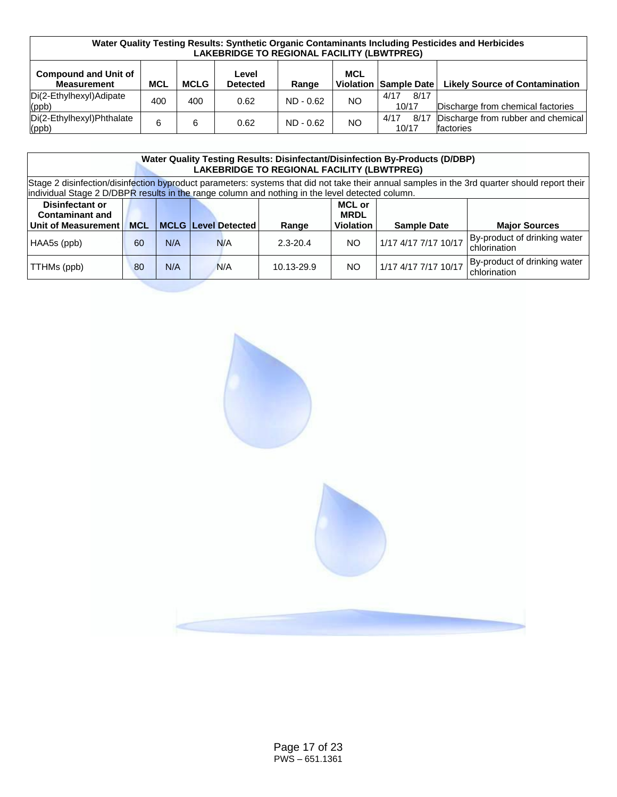| Water Quality Testing Results: Synthetic Organic Contaminants Including Pesticides and Herbicides<br><b>LAKEBRIDGE TO REGIONAL FACILITY (LBWTPREG)</b> |            |      |                          |             |            |                       |                                                 |  |  |  |
|--------------------------------------------------------------------------------------------------------------------------------------------------------|------------|------|--------------------------|-------------|------------|-----------------------|-------------------------------------------------|--|--|--|
| <b>Compound and Unit of</b><br><b>Measurement</b>                                                                                                      | <b>MCL</b> | MCLG | Level<br><b>Detected</b> | Range       | <b>MCL</b> | Violation Sample Date | <b>Likely Source of Contamination</b>           |  |  |  |
| Di(2-Ethylhexyl)Adipate<br>(ppb)                                                                                                                       | 400        | 400  | 0.62                     | $ND - 0.62$ | NO.        | 8/17<br>4/17<br>10/17 | Discharge from chemical factories               |  |  |  |
| Di(2-Ethylhexyl)Phthalate<br>(ppb)                                                                                                                     | 6          | 6    | 0.62                     | $ND - 0.62$ | NO.        | 8/17<br>4/17<br>10/17 | Discharge from rubber and chemical<br>factories |  |  |  |

|                                                                                                                                                                                                                                                  | <b>Water Quality Testing Results: Disinfectant/Disinfection By-Products (D/DBP)</b><br><b>LAKEBRIDGE TO REGIONAL FACILITY (LBWTPREG)</b> |     |  |     |            |           |                      |                                              |  |  |  |  |
|--------------------------------------------------------------------------------------------------------------------------------------------------------------------------------------------------------------------------------------------------|------------------------------------------------------------------------------------------------------------------------------------------|-----|--|-----|------------|-----------|----------------------|----------------------------------------------|--|--|--|--|
| Stage 2 disinfection/disinfection byproduct parameters: systems that did not take their annual samples in the 3rd quarter should report their<br>individual Stage 2 D/DBPR results in the range column and nothing in the level detected column. |                                                                                                                                          |     |  |     |            |           |                      |                                              |  |  |  |  |
| <b>Disinfectant or</b><br><b>MCL or</b><br><b>Contaminant and</b><br><b>MRDL</b><br><b>MCL</b><br>Unit of Measurement<br><b>MCLG Level Detected</b><br><b>Violation</b><br><b>Sample Date</b><br><b>Major Sources</b><br>Range                   |                                                                                                                                          |     |  |     |            |           |                      |                                              |  |  |  |  |
| HAA5s (ppb)                                                                                                                                                                                                                                      | By-product of drinking water<br>1/17 4/17 7/17 10/17<br>N/A<br><b>NO</b><br>N/A<br>60<br>$2.3 - 20.4$<br>chlorination                    |     |  |     |            |           |                      |                                              |  |  |  |  |
| TTHMs (ppb)                                                                                                                                                                                                                                      | 80                                                                                                                                       | N/A |  | N/A | 10.13-29.9 | <b>NO</b> | 1/17 4/17 7/17 10/17 | By-product of drinking water<br>chlorination |  |  |  |  |

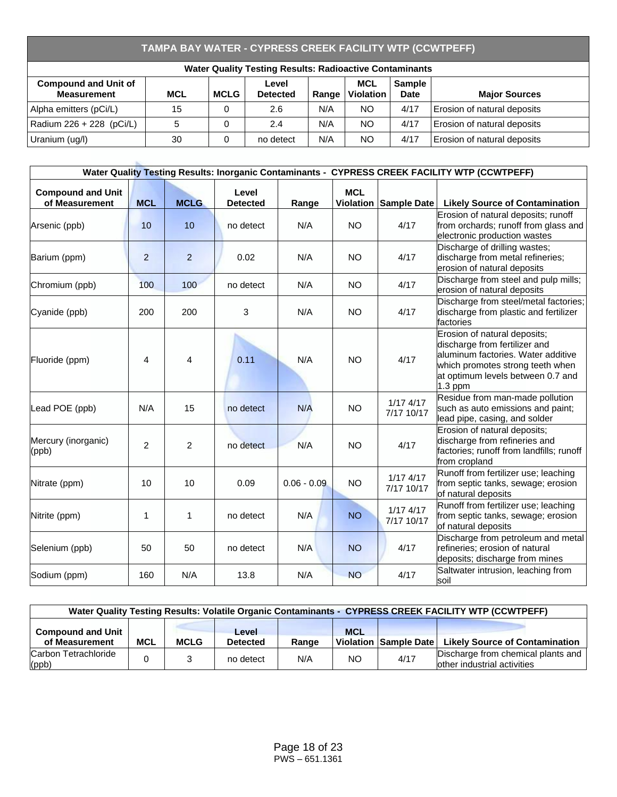# **TAMPA BAY WATER - CYPRESS CREEK FACILITY WTP (CCWTPEFF)**

| <b>Water Quality Testing Results: Radioactive Contaminants</b>                                                                                                                                         |    |   |           |     |           |      |                             |  |  |  |  |
|--------------------------------------------------------------------------------------------------------------------------------------------------------------------------------------------------------|----|---|-----------|-----|-----------|------|-----------------------------|--|--|--|--|
| <b>MCL</b><br><b>Sample</b><br><b>Compound and Unit of</b><br>Level<br><b>Violation</b><br><b>MCL</b><br><b>MCLG</b><br><b>Measurement</b><br>Date<br><b>Detected</b><br><b>Major Sources</b><br>Range |    |   |           |     |           |      |                             |  |  |  |  |
| Alpha emitters (pCi/L)                                                                                                                                                                                 | 15 |   | 2.6       | N/A | <b>NO</b> | 4/17 | Erosion of natural deposits |  |  |  |  |
| Radium 226 + 228 (pCi/L)                                                                                                                                                                               | 5  |   | 2.4       | N/A | <b>NO</b> | 4/17 | Erosion of natural deposits |  |  |  |  |
| Uranium (ug/l)                                                                                                                                                                                         | 30 | 0 | no detect | N/A | <b>NO</b> | 4/17 | Erosion of natural deposits |  |  |  |  |

|                                            |                |                |                          |               |                                |                             | Water Quality Testing Results: Inorganic Contaminants - CYPRESS CREEK FACILITY WTP (CCWTPEFF)                                                                                             |
|--------------------------------------------|----------------|----------------|--------------------------|---------------|--------------------------------|-----------------------------|-------------------------------------------------------------------------------------------------------------------------------------------------------------------------------------------|
| <b>Compound and Unit</b><br>of Measurement | <b>MCL</b>     | <b>MCLG</b>    | Level<br><b>Detected</b> | Range         | <b>MCL</b><br><b>Violation</b> | Sample Date                 | <b>Likely Source of Contamination</b>                                                                                                                                                     |
| Arsenic (ppb)                              | 10             | 10             | no detect                | N/A           | <b>NO</b>                      | 4/17                        | Erosion of natural deposits; runoff<br>from orchards; runoff from glass and<br>electronic production wastes                                                                               |
| Barium (ppm)                               | $\overline{2}$ | $\overline{2}$ | 0.02                     | N/A           | <b>NO</b>                      | 4/17                        | Discharge of drilling wastes;<br>discharge from metal refineries;<br>erosion of natural deposits                                                                                          |
| Chromium (ppb)                             | 100            | 100            | no detect                | N/A           | <b>NO</b>                      | 4/17                        | Discharge from steel and pulp mills;<br>erosion of natural deposits                                                                                                                       |
| Cyanide (ppb)                              | 200            | 200            | 3                        | N/A           | <b>NO</b>                      | 4/17                        | Discharge from steel/metal factories;<br>discharge from plastic and fertilizer<br>factories                                                                                               |
| Fluoride (ppm)                             | 4              | 4              | 0.11                     | N/A           | <b>NO</b>                      | 4/17                        | Erosion of natural deposits;<br>discharge from fertilizer and<br>aluminum factories. Water additive<br>which promotes strong teeth when<br>at optimum levels between 0.7 and<br>$1.3$ ppm |
| Lead POE (ppb)                             | N/A            | 15             | no detect                | N/A           | <b>NO</b>                      | $1/17$ $4/17$<br>7/17 10/17 | Residue from man-made pollution<br>such as auto emissions and paint;<br>lead pipe, casing, and solder                                                                                     |
| Mercury (inorganic)<br>(ppb)               | $\overline{2}$ | $\overline{2}$ | no detect                | N/A           | <b>NO</b>                      | 4/17                        | Erosion of natural deposits;<br>discharge from refineries and<br>factories; runoff from landfills; runoff<br>from cropland                                                                |
| Nitrate (ppm)                              | 10             | 10             | 0.09                     | $0.06 - 0.09$ | <b>NO</b>                      | $1/17$ $4/17$<br>7/17 10/17 | Runoff from fertilizer use; leaching<br>from septic tanks, sewage; erosion<br>of natural deposits                                                                                         |
| Nitrite (ppm)                              | 1              | 1              | no detect                | N/A           | <b>NO</b>                      | $1/17$ 4/17<br>7/17 10/17   | Runoff from fertilizer use; leaching<br>from septic tanks, sewage; erosion<br>of natural deposits                                                                                         |
| Selenium (ppb)                             | 50             | 50             | no detect                | N/A           | <b>NO</b>                      | 4/17                        | Discharge from petroleum and metal<br>refineries; erosion of natural<br>deposits; discharge from mines                                                                                    |
| Sodium (ppm)                               | 160            | N/A            | 13.8                     | N/A           | <b>NO</b>                      | 4/17                        | Saltwater intrusion, leaching from<br>soil                                                                                                                                                |

| Water Quality Testing Results: Volatile Organic Contaminants - CYPRESS CREEK FACILITY WTP (CCWTPEFF) |            |             |                          |       |            |                       |                                                                   |  |  |  |  |
|------------------------------------------------------------------------------------------------------|------------|-------------|--------------------------|-------|------------|-----------------------|-------------------------------------------------------------------|--|--|--|--|
| <b>Compound and Unit</b><br>of Measurement                                                           | <b>MCL</b> | <b>MCLG</b> | Level<br><b>Detected</b> | Range | <b>MCL</b> | Violation Sample Date | <b>Likely Source of Contamination</b>                             |  |  |  |  |
| Carbon Tetrachloride<br>(ppb)                                                                        |            |             | no detect                | N/A   | NO.        | 4/17                  | Discharge from chemical plants and<br>other industrial activities |  |  |  |  |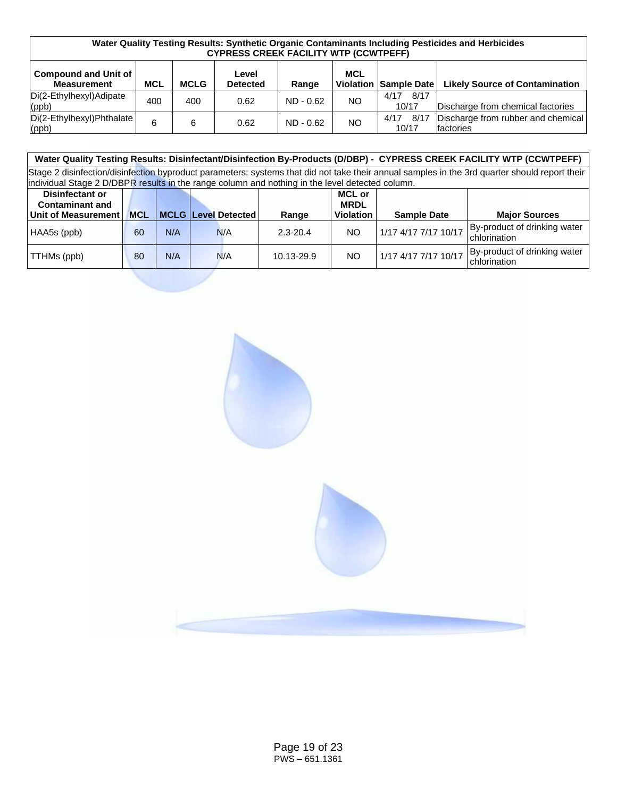| Water Quality Testing Results: Synthetic Organic Contaminants Including Pesticides and Herbicides<br><b>CYPRESS CREEK FACILITY WTP (CCWTPEFF)</b> |            |             |                          |             |                                |                       |                                                 |  |  |  |  |
|---------------------------------------------------------------------------------------------------------------------------------------------------|------------|-------------|--------------------------|-------------|--------------------------------|-----------------------|-------------------------------------------------|--|--|--|--|
| <b>Compound and Unit of</b><br><b>Measurement</b>                                                                                                 | <b>MCL</b> | <b>MCLG</b> | Level<br><b>Detected</b> | Range       | <b>MCL</b><br><b>Violation</b> | Sample Date           | <b>Likely Source of Contamination</b>           |  |  |  |  |
| Di(2-Ethylhexyl)Adipate<br>(ppb)                                                                                                                  | 400        | 400         | 0.62                     | $ND - 0.62$ | <b>NO</b>                      | 8/17<br>4/17<br>10/17 | Discharge from chemical factories               |  |  |  |  |
| Di(2-Ethylhexyl)Phthalate<br>$\vert$ (ppb)                                                                                                        | 6          | 6           | 0.62                     | $ND - 0.62$ | <b>NO</b>                      | 8/17<br>4/17<br>10/17 | Discharge from rubber and chemical<br>factories |  |  |  |  |

#### **Water Quality Testing Results: Disinfectant/Disinfection By-Products (D/DBP) - CYPRESS CREEK FACILITY WTP (CCWTPEFF)** Stage 2 disinfection/disinfection byproduct parameters: systems that did not take their annual samples in the 3rd quarter should report their individual Stage 2 D/DBPR results in the range column and nothing in the level detected column. **Disinfectant or Contaminant and MCL** | MCLG | Level Detected | Range **MCL or MRDL Violation Sample Date Major Sources** HAA5s (ppb) 60 N/A N/A 2.3-20.4 NO 1/17 4/17 7/17 10/17 By-product of drinking water chlorination TTHMs (ppb) <sup>80</sup> N/A N/A 10.13-29.9 NO 1/17 4/17 7/17 10/17 By-product of drinking water

chlorination

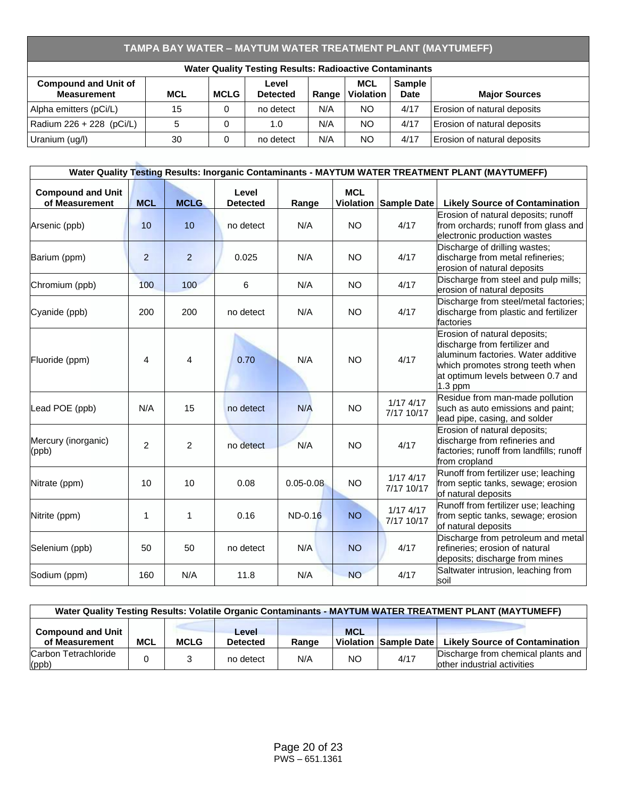# **TAMPA BAY WATER – MAYTUM WATER TREATMENT PLANT (MAYTUMEFF)**

| <b>Water Quality Testing Results: Radioactive Contaminants</b>                                                                                                                                         |    |  |           |     |     |      |                             |  |  |  |  |
|--------------------------------------------------------------------------------------------------------------------------------------------------------------------------------------------------------|----|--|-----------|-----|-----|------|-----------------------------|--|--|--|--|
| <b>MCL</b><br><b>Compound and Unit of</b><br><b>Sample</b><br>Level<br>Violation<br><b>Measurement</b><br><b>MCL</b><br><b>MCLG</b><br><b>Date</b><br><b>Major Sources</b><br><b>Detected</b><br>Range |    |  |           |     |     |      |                             |  |  |  |  |
| Alpha emitters (pCi/L)                                                                                                                                                                                 | 15 |  | no detect | N/A | NO. | 4/17 | Erosion of natural deposits |  |  |  |  |
| Radium 226 + 228 (pCi/L)                                                                                                                                                                               | 5  |  | 1.0       | N/A | NO. | 4/17 | Erosion of natural deposits |  |  |  |  |
| Uranium (ug/l)                                                                                                                                                                                         | 30 |  | no detect | N/A | NO. | 4/17 | Erosion of natural deposits |  |  |  |  |

|                                            |                |                |                          |               |            |                             | Water Quality Testing Results: Inorganic Contaminants - MAYTUM WATER TREATMENT PLANT (MAYTUMEFF)                                                                                          |
|--------------------------------------------|----------------|----------------|--------------------------|---------------|------------|-----------------------------|-------------------------------------------------------------------------------------------------------------------------------------------------------------------------------------------|
| <b>Compound and Unit</b><br>of Measurement | <b>MCL</b>     | <b>MCLG</b>    | Level<br><b>Detected</b> | Range         | <b>MCL</b> | Violation Sample Date       | <b>Likely Source of Contamination</b>                                                                                                                                                     |
| Arsenic (ppb)                              | 10             | 10             | no detect                | N/A           | <b>NO</b>  | 4/17                        | Erosion of natural deposits; runoff<br>from orchards; runoff from glass and<br>electronic production wastes                                                                               |
| Barium (ppm)                               | $\overline{2}$ | $\overline{2}$ | 0.025                    | N/A           | <b>NO</b>  | 4/17                        | Discharge of drilling wastes;<br>discharge from metal refineries;<br>erosion of natural deposits                                                                                          |
| Chromium (ppb)                             | 100            | 100            | 6                        | N/A           | <b>NO</b>  | 4/17                        | Discharge from steel and pulp mills;<br>erosion of natural deposits                                                                                                                       |
| Cyanide (ppb)                              | 200            | 200            | no detect                | N/A           | <b>NO</b>  | 4/17                        | Discharge from steel/metal factories;<br>discharge from plastic and fertilizer<br>factories                                                                                               |
| Fluoride (ppm)                             | 4              | 4              | 0.70                     | N/A           | <b>NO</b>  | 4/17                        | Erosion of natural deposits;<br>discharge from fertilizer and<br>aluminum factories. Water additive<br>which promotes strong teeth when<br>at optimum levels between 0.7 and<br>$1.3$ ppm |
| Lead POE (ppb)                             | N/A            | 15             | no detect                | N/A           | <b>NO</b>  | $1/17$ $4/17$<br>7/17 10/17 | Residue from man-made pollution<br>such as auto emissions and paint;<br>lead pipe, casing, and solder                                                                                     |
| Mercury (inorganic)<br>(ppb)               | $\overline{2}$ | $\overline{2}$ | no detect                | N/A           | <b>NO</b>  | 4/17                        | Erosion of natural deposits;<br>discharge from refineries and<br>factories; runoff from landfills; runoff<br>from cropland                                                                |
| Nitrate (ppm)                              | 10             | 10             | 0.08                     | $0.05 - 0.08$ | <b>NO</b>  | $1/17$ 4/17<br>7/17 10/17   | Runoff from fertilizer use; leaching<br>from septic tanks, sewage; erosion<br>of natural deposits                                                                                         |
| Nitrite (ppm)                              | 1              | 1              | 0.16                     | ND-0.16       | <b>NO</b>  | $1/17$ 4/17<br>7/17 10/17   | Runoff from fertilizer use; leaching<br>from septic tanks, sewage; erosion<br>of natural deposits                                                                                         |
| Selenium (ppb)                             | 50             | 50             | no detect                | N/A           | <b>NO</b>  | 4/17                        | Discharge from petroleum and metal<br>refineries; erosion of natural<br>deposits; discharge from mines                                                                                    |
| Sodium (ppm)                               | 160            | N/A            | 11.8                     | N/A           | <b>NO</b>  | 4/17                        | Saltwater intrusion, leaching from<br>soil                                                                                                                                                |

| Water Quality Testing Results: Volatile Organic Contaminants - MAYTUM WATER TREATMENT PLANT (MAYTUMEFF) |            |             |                          |       |            |                       |                                                                   |  |  |  |  |
|---------------------------------------------------------------------------------------------------------|------------|-------------|--------------------------|-------|------------|-----------------------|-------------------------------------------------------------------|--|--|--|--|
| <b>Compound and Unit</b><br>of Measurement                                                              | <b>MCL</b> | <b>MCLG</b> | Level<br><b>Detected</b> | Range | <b>MCL</b> | Violation Sample Date | <b>Likely Source of Contamination</b>                             |  |  |  |  |
| Carbon Tetrachloride<br>(ppb)                                                                           |            |             | no detect                | N/A   | NO.        | 4/17                  | Discharge from chemical plants and<br>other industrial activities |  |  |  |  |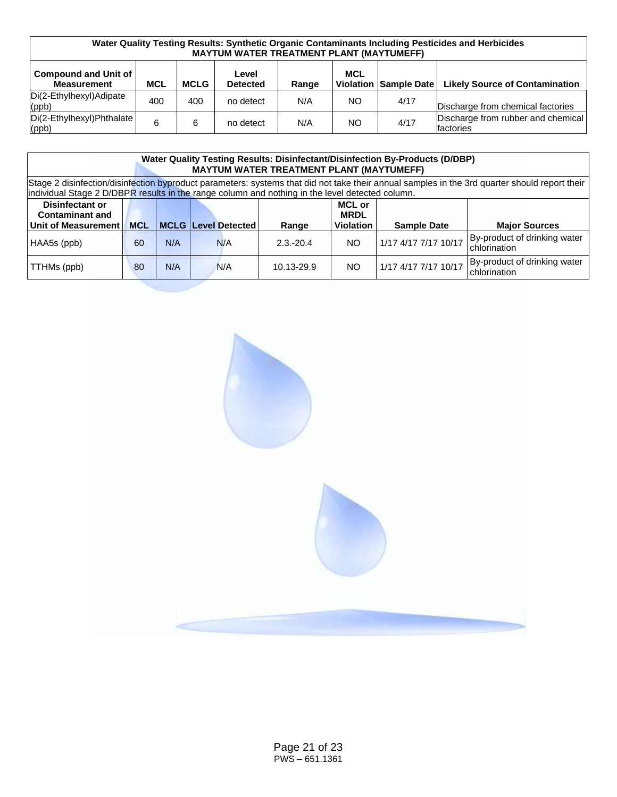| Water Quality Testing Results: Synthetic Organic Contaminants Including Pesticides and Herbicides<br><b>MAYTUM WATER TREATMENT PLANT (MAYTUMEFF)</b> |     |             |                          |       |            |                       |                                                 |  |  |  |
|------------------------------------------------------------------------------------------------------------------------------------------------------|-----|-------------|--------------------------|-------|------------|-----------------------|-------------------------------------------------|--|--|--|
| <b>Compound and Unit of</b><br><b>Measurement</b>                                                                                                    | MCL | <b>MCLG</b> | Level<br><b>Detected</b> | Range | <b>MCL</b> | Violation Sample Date | <b>Likely Source of Contamination</b>           |  |  |  |
| Di(2-Ethylhexyl)Adipate<br>(ppb)                                                                                                                     | 400 | 400         | no detect                | N/A   | NO.        | 4/17                  | Discharge from chemical factories               |  |  |  |
| Di(2-Ethylhexyl)Phthalate<br>$ $ (ppb)                                                                                                               | 6   | 6           | no detect                | N/A   | <b>NO</b>  | 4/17                  | Discharge from rubber and chemical<br>factories |  |  |  |

| <b>Water Quality Testing Results: Disinfectant/Disinfection By-Products (D/DBP)</b><br><b>MAYTUM WATER TREATMENT PLANT (MAYTUMEFF)</b>                                                                                                           |                                                                                                                                                     |     |  |     |              |     |                      |                                              |  |  |
|--------------------------------------------------------------------------------------------------------------------------------------------------------------------------------------------------------------------------------------------------|-----------------------------------------------------------------------------------------------------------------------------------------------------|-----|--|-----|--------------|-----|----------------------|----------------------------------------------|--|--|
| Stage 2 disinfection/disinfection byproduct parameters: systems that did not take their annual samples in the 3rd quarter should report their<br>individual Stage 2 D/DBPR results in the range column and nothing in the level detected column. |                                                                                                                                                     |     |  |     |              |     |                      |                                              |  |  |
| <b>Disinfectant or</b><br><b>Contaminant and</b><br>Unit of Measurement                                                                                                                                                                          | <b>MCL or</b><br><b>MRDL</b><br><b>MCLG Level Detected</b><br><b>Violation</b><br><b>MCL</b><br><b>Major Sources</b><br><b>Sample Date</b><br>Range |     |  |     |              |     |                      |                                              |  |  |
| HAA5s (ppb)                                                                                                                                                                                                                                      | 60                                                                                                                                                  | N/A |  | N/A | $2.3 - 20.4$ | NO. | 1/17 4/17 7/17 10/17 | By-product of drinking water<br>chlorination |  |  |
| TTHMs (ppb)                                                                                                                                                                                                                                      | By-product of drinking water<br>1/17 4/17 7/17 10/17<br>N/A<br>NO.<br>N/A<br>80<br>10.13-29.9<br>chlorination                                       |     |  |     |              |     |                      |                                              |  |  |

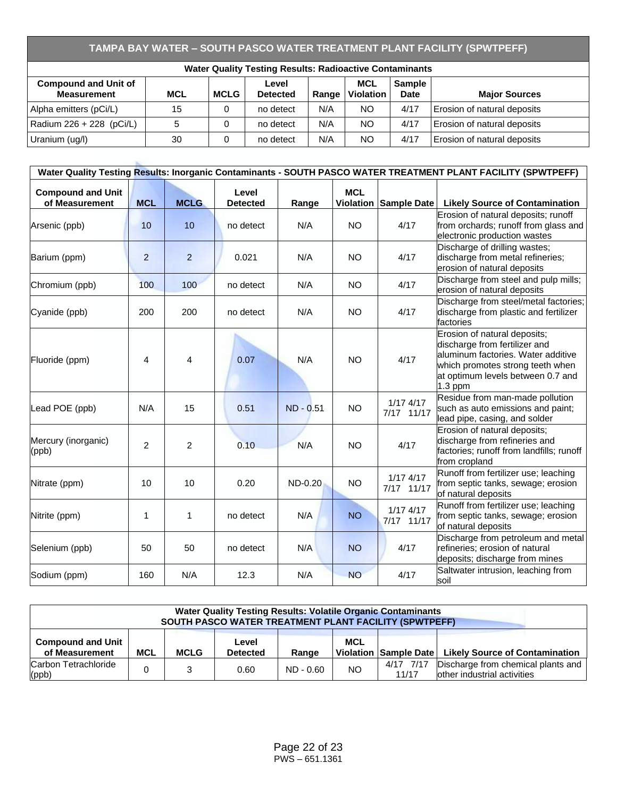# **TAMPA BAY WATER – SOUTH PASCO WATER TREATMENT PLANT FACILITY (SPWTPEFF)**

| <b>Water Quality Testing Results: Radioactive Contaminants</b> |            |             |                          |       |                                |                              |                             |  |  |  |
|----------------------------------------------------------------|------------|-------------|--------------------------|-------|--------------------------------|------------------------------|-----------------------------|--|--|--|
| <b>Compound and Unit of</b><br><b>Measurement</b>              | <b>MCL</b> | <b>MCLG</b> | Level<br><b>Detected</b> | Range | <b>MCL</b><br><b>Violation</b> | <b>Sample</b><br><b>Date</b> | <b>Major Sources</b>        |  |  |  |
| Alpha emitters (pCi/L)                                         | 15         |             | no detect                | N/A   | NO.                            | 4/17                         | Erosion of natural deposits |  |  |  |
| Radium 226 + 228 (pCi/L)                                       | 5          |             | no detect                | N/A   | NO.                            | 4/17                         | Erosion of natural deposits |  |  |  |
| Uranium (ug/l)                                                 | 30         |             | no detect                | N/A   | NO.                            | 4/17                         | Erosion of natural deposits |  |  |  |

| Water Quality Testing Results: Inorganic Contaminants - SOUTH PASCO WATER TREATMENT PLANT FACILITY (SPWTPEFF) |                |              |                          |             |            |                           |                                                                                                                                                                                           |  |  |  |  |
|---------------------------------------------------------------------------------------------------------------|----------------|--------------|--------------------------|-------------|------------|---------------------------|-------------------------------------------------------------------------------------------------------------------------------------------------------------------------------------------|--|--|--|--|
| <b>Compound and Unit</b><br>of Measurement                                                                    | <b>MCL</b>     | <b>MCLG</b>  | Level<br><b>Detected</b> | Range       | <b>MCL</b> | Violation Sample Date     | <b>Likely Source of Contamination</b>                                                                                                                                                     |  |  |  |  |
| Arsenic (ppb)                                                                                                 | 10             | 10           | no detect                | N/A         | <b>NO</b>  | 4/17                      | Erosion of natural deposits; runoff<br>from orchards; runoff from glass and<br>electronic production wastes                                                                               |  |  |  |  |
| Barium (ppm)                                                                                                  | $\overline{2}$ | 2            | 0.021                    | N/A         | <b>NO</b>  | 4/17                      | Discharge of drilling wastes;<br>discharge from metal refineries;<br>erosion of natural deposits                                                                                          |  |  |  |  |
| Chromium (ppb)                                                                                                | 100            | 100          | no detect                | N/A         | <b>NO</b>  | 4/17                      | Discharge from steel and pulp mills;<br>erosion of natural deposits                                                                                                                       |  |  |  |  |
| Cyanide (ppb)                                                                                                 | 200            | 200          | no detect                | N/A         | <b>NO</b>  | 4/17                      | Discharge from steel/metal factories;<br>discharge from plastic and fertilizer<br>factories                                                                                               |  |  |  |  |
| Fluoride (ppm)                                                                                                | 4              | 4            | 0.07                     | N/A         | <b>NO</b>  | 4/17                      | Erosion of natural deposits;<br>discharge from fertilizer and<br>aluminum factories. Water additive<br>which promotes strong teeth when<br>at optimum levels between 0.7 and<br>$1.3$ ppm |  |  |  |  |
| Lead POE (ppb)                                                                                                | N/A            | 15           | 0.51                     | $ND - 0.51$ | <b>NO</b>  | $1/17$ 4/17<br>7/17 11/17 | Residue from man-made pollution<br>such as auto emissions and paint;<br>lead pipe, casing, and solder                                                                                     |  |  |  |  |
| Mercury (inorganic)<br>(ppb)                                                                                  | $\mathcal{P}$  | 2            | 0.10                     | N/A         | <b>NO</b>  | 4/17                      | Erosion of natural deposits;<br>discharge from refineries and<br>factories; runoff from landfills; runoff<br>from cropland                                                                |  |  |  |  |
| Nitrate (ppm)                                                                                                 | 10             | 10           | 0.20                     | ND-0.20     | <b>NO</b>  | $1/17$ 4/17<br>7/17 11/17 | Runoff from fertilizer use; leaching<br>from septic tanks, sewage; erosion<br>of natural deposits                                                                                         |  |  |  |  |
| Nitrite (ppm)                                                                                                 | 1              | $\mathbf{1}$ | no detect                | N/A         | <b>NO</b>  | $1/17$ 4/17<br>7/17 11/17 | Runoff from fertilizer use; leaching<br>from septic tanks, sewage; erosion<br>of natural deposits                                                                                         |  |  |  |  |
| Selenium (ppb)                                                                                                | 50             | 50           | no detect                | N/A         | <b>NO</b>  | 4/17                      | Discharge from petroleum and metal<br>refineries; erosion of natural<br>deposits; discharge from mines                                                                                    |  |  |  |  |
| Sodium (ppm)                                                                                                  | 160            | N/A          | 12.3                     | N/A         | <b>NO</b>  | 4/17                      | Saltwater intrusion, leaching from<br>soil                                                                                                                                                |  |  |  |  |

| <b>Water Quality Testing Results: Volatile Organic Contaminants</b><br>SOUTH PASCO WATER TREATMENT PLANT FACILITY (SPWTPEFF) |                                                                                                                                         |  |      |             |     |                    |                                                                   |  |  |
|------------------------------------------------------------------------------------------------------------------------------|-----------------------------------------------------------------------------------------------------------------------------------------|--|------|-------------|-----|--------------------|-------------------------------------------------------------------|--|--|
| Compound and Unit<br>of Measurement                                                                                          | <b>MCL</b><br>Level<br>MCL<br><b>Likely Source of Contamination</b><br><b>MCLG</b><br>Violation Sample Date<br><b>Detected</b><br>Range |  |      |             |     |                    |                                                                   |  |  |
| Carbon Tetrachloride<br>$\vert$ (ppb)                                                                                        |                                                                                                                                         |  | 0.60 | $ND - 0.60$ | NO. | 4/17 7/17<br>11/17 | Discharge from chemical plants and<br>other industrial activities |  |  |